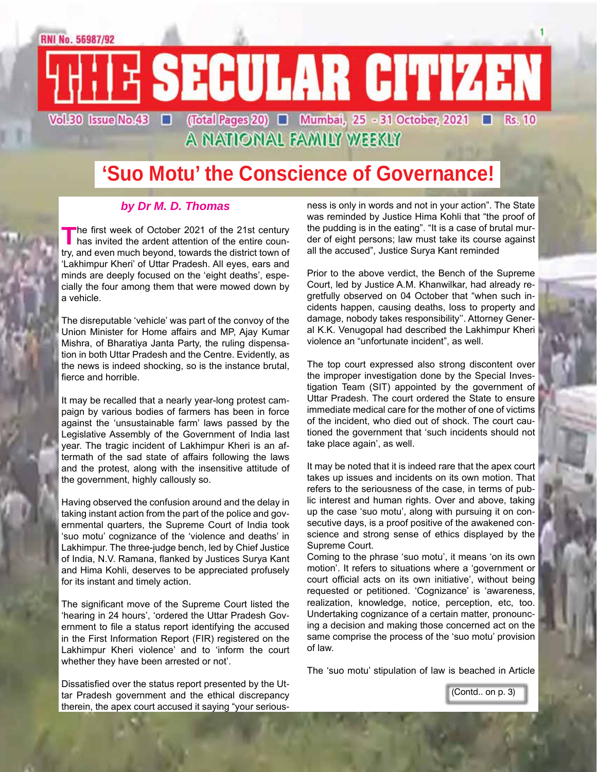

A NATIONAL FAMILY WEEKLY

## **'Suo Motu' the Conscience of Governance!**

#### *by Dr M. D. Thomas*

The first week of October 2021 of the 21st century<br>has invited the ardent attention of the entire coun-<br>the district term of try, and even much beyond, towards the district town of 'Lakhimpur Kheri' of Uttar Pradesh. All eyes, ears and minds are deeply focused on the 'eight deaths', especially the four among them that were mowed down by a vehicle.

The disreputable 'vehicle' was part of the convoy of the Union Minister for Home affairs and MP, Ajay Kumar Mishra, of Bharatiya Janta Party, the ruling dispensation in both Uttar Pradesh and the Centre. Evidently, as the news is indeed shocking, so is the instance brutal, fierce and horrible.

It may be recalled that a nearly year-long protest campaign by various bodies of farmers has been in force against the 'unsustainable farm' laws passed by the Legislative Assembly of the Government of India last year. The tragic incident of Lakhimpur Kheri is an aftermath of the sad state of affairs following the laws and the protest, along with the insensitive attitude of the government, highly callously so.

Having observed the confusion around and the delay in taking instant action from the part of the police and governmental quarters, the Supreme Court of India took 'suo motu' cognizance of the 'violence and deaths' in Lakhimpur. The three-judge bench, led by Chief Justice of India, N.V. Ramana, flanked by Justices Surya Kant and Hima Kohli, deserves to be appreciated profusely for its instant and timely action.

The significant move of the Supreme Court listed the 'hearing in 24 hours', 'ordered the Uttar Pradesh Government to file a status report identifying the accused in the First Information Report (FIR) registered on the Lakhimpur Kheri violence' and to 'inform the court whether they have been arrested or not'.

Dissatisfied over the status report presented by the Uttar Pradesh government and the ethical discrepancy therein, the apex court accused it saying "your seriousness is only in words and not in your action". The State was reminded by Justice Hima Kohli that "the proof of the pudding is in the eating". "It is a case of brutal murder of eight persons; law must take its course against all the accused", Justice Surya Kant reminded

Prior to the above verdict, the Bench of the Supreme Court, led by Justice A.M. Khanwilkar, had already regretfully observed on 04 October that "when such incidents happen, causing deaths, loss to property and damage, nobody takes responsibility''. Attorney General K.K. Venugopal had described the Lakhimpur Kheri violence an "unfortunate incident", as well.

The top court expressed also strong discontent over the improper investigation done by the Special Investigation Team (SIT) appointed by the government of Uttar Pradesh. The court ordered the State to ensure immediate medical care for the mother of one of victims of the incident, who died out of shock. The court cautioned the government that 'such incidents should not take place again', as well.

It may be noted that it is indeed rare that the apex court takes up issues and incidents on its own motion. That refers to the seriousness of the case, in terms of public interest and human rights. Over and above, taking up the case 'suo motu', along with pursuing it on consecutive days, is a proof positive of the awakened conscience and strong sense of ethics displayed by the Supreme Court.

Coming to the phrase 'suo motu', it means 'on its own motion'. It refers to situations where a 'government or court official acts on its own initiative', without being requested or petitioned. 'Cognizance' is 'awareness, realization, knowledge, notice, perception, etc, too. Undertaking cognizance of a certain matter, pronouncing a decision and making those concerned act on the same comprise the process of the 'suo motu' provision of law.

The 'suo motu' stipulation of law is beached in Article

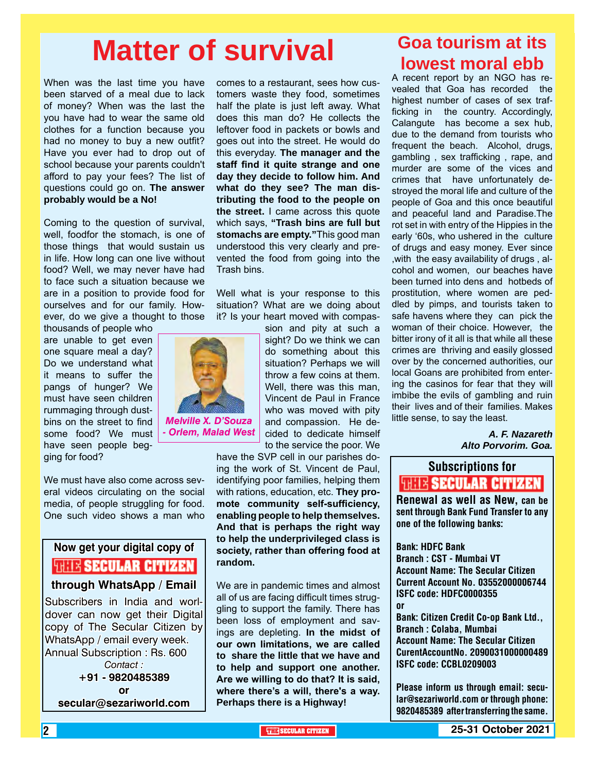# **Matter of survival**

When was the last time you have been starved of a meal due to lack of money? When was the last the you have had to wear the same old clothes for a function because you had no money to buy a new outfit? Have you ever had to drop out of school because your parents couldn't afford to pay your fees? The list of questions could go on. **The answer probably would be a No!**

Coming to the question of survival, well, foodfor the stomach, is one of those things that would sustain us in life. How long can one live without food? Well, we may never have had to face such a situation because we are in a position to provide food for ourselves and for our family. However, do we give a thought to those

thousands of people who are unable to get even one square meal a day? Do we understand what it means to suffer the pangs of hunger? We must have seen children rummaging through dustbins on the street to find some food? We must have seen people begging for food?

*Melville X. D'Souza - Orlem, Malad West*

We must have also come across several videos circulating on the social media, of people struggling for food. One such video shows a man who

### **Now get your digital copy of WHE SECULAR CITIZEN through WhatsApp / Email** Subscribers in India and worl-

dover can now get their Digital copy of The Secular Citizen by WhatsApp / email every week. Annual Subscription : Rs. 600 *Contact :* **+91 - 9820485389 or secular@sezariworld.com**

comes to a restaurant, sees how customers waste they food, sometimes half the plate is just left away. What does this man do? He collects the leftover food in packets or bowls and goes out into the street. He would do this everyday. **The manager and the staff find it quite strange and one day they decide to follow him. And what do they see? The man distributing the food to the people on the street.** I came across this quote which says, **"Trash bins are full but stomachs are empty."**This good man understood this very clearly and prevented the food from going into the Trash bins.

Well what is your response to this situation? What are we doing about it? Is your heart moved with compas-

> sion and pity at such a sight? Do we think we can do something about this situation? Perhaps we will throw a few coins at them. Well, there was this man, Vincent de Paul in France who was moved with pity and compassion. He decided to dedicate himself to the service the poor. We

have the SVP cell in our parishes doing the work of St. Vincent de Paul, identifying poor families, helping them with rations, education, etc. **They promote community self-sufficiency, enabling people to help themselves. And that is perhaps the right way to help the underprivileged class is society, rather than offering food at random.**

We are in pandemic times and almost all of us are facing difficult times struggling to support the family. There has been loss of employment and savings are depleting. **In the midst of our own limitations, we are called to share the little that we have and to help and support one another. Are we willing to do that? It is said, where there's a will, there's a way. Perhaps there is a Highway!**

### **Goa tourism at its lowest moral ebb**

A recent report by an NGO has revealed that Goa has recorded the highest number of cases of sex trafficking in the country. Accordingly, Calangute has become a sex hub, due to the demand from tourists who frequent the beach. Alcohol, drugs, gambling , sex trafficking , rape, and murder are some of the vices and crimes that have unfortunately destroyed the moral life and culture of the people of Goa and this once beautiful and peaceful land and Paradise.The rot set in with entry of the Hippies in the early '60s, who ushered in the culture of drugs and easy money. Ever since ,with the easy availability of drugs , alcohol and women, our beaches have been turned into dens and hotbeds of prostitution, where women are peddled by pimps, and tourists taken to safe havens where they can pick the woman of their choice. However, the bitter irony of it all is that while all these crimes are thriving and easily glossed over by the concerned authorities, our local Goans are prohibited from entering the casinos for fear that they will imbibe the evils of gambling and ruin their lives and of their families. Makes little sense, to say the least.

> *A. F. Nazareth Alto Porvorim. Goa.*

## Subscriptions for **RENEW SECULAR CITIZEN**<br>Renewal as well as New, can be

sent through Bank Fund Transfer to any one of the following banks:

Bank: HDFC Bank Branch : CST - Mumbai VT Account Name: The Secular Citizen Current Account No. 03552000006744 ISFC code: HDFC0000355 or Bank: Citizen Credit Co-op Bank Ltd., Branch : Colaba, Mumbai

Account Name: The Secular Citizen CurentAccountNo. 2090031000000489 ISFC code: CCBL0209003

Please inform us through email: secular@sezariworld.com or through phone: 9820485389 after transferring the same.

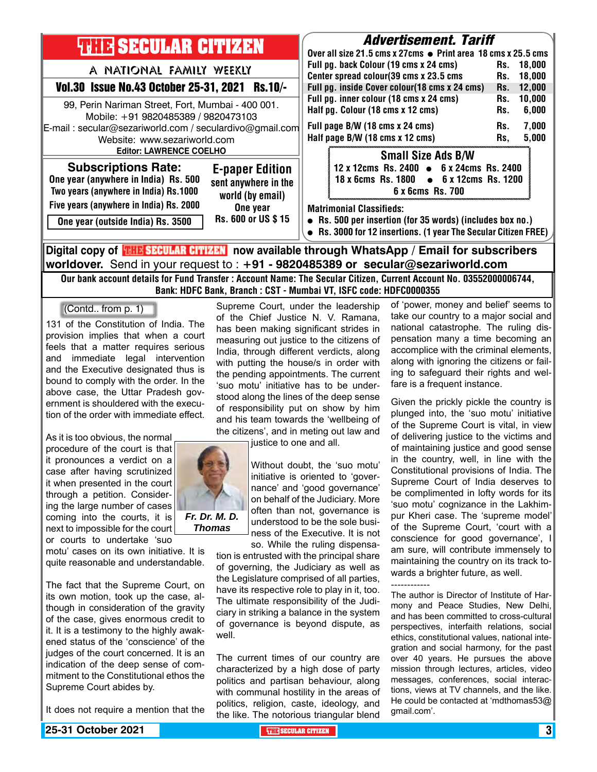| <b>THILE SECULAR CITIZEN</b>                                                                                                                                                                                          |                                                                                | <i><b>Advertisement. Tariff</b></i><br>Over all size 21.5 cms x 27cms • Print area 18 cms x 25.5 cms                                                                            |                                                               |
|-----------------------------------------------------------------------------------------------------------------------------------------------------------------------------------------------------------------------|--------------------------------------------------------------------------------|---------------------------------------------------------------------------------------------------------------------------------------------------------------------------------|---------------------------------------------------------------|
| A NATIONAL FAMILY WEEKLY                                                                                                                                                                                              |                                                                                | Full pg. back Colour (19 cms x 24 cms)<br>Center spread colour(39 cms x 23.5 cms                                                                                                | 18.000<br>Rs.<br>18.000<br>Rs.                                |
| Vol.30 Issue No.43 October 25-31, 2021 Rs.10/-                                                                                                                                                                        |                                                                                | Full pg. inside Cover colour(18 cms x 24 cms)                                                                                                                                   | 12,000<br>Rs.                                                 |
| 99, Perin Nariman Street, Fort, Mumbai - 400 001.<br>Mobile: +91 9820485389 / 9820473103<br>E-mail: secular@sezariworld.com / seculardivo@gmail.com<br>Website: www.sezariworld.com<br><b>Editor: LAWRENCE COELHO</b> |                                                                                | Full pg. inner colour (18 cms x 24 cms)<br>Half pg. Colour (18 cms x 12 cms)<br>Full page B/W (18 cms x 24 cms)<br>Half page B/W (18 cms x 12 cms)<br><b>Small Size Ads B/W</b> | 10,000<br>Rs.<br>6,000<br>Rs.<br>7,000<br>Rs.<br>5,000<br>Rs, |
| <b>Subscriptions Rate:</b><br>One year (anywhere in India) Rs. 500<br>Two years (anywhere in India) Rs.1000<br>Five years (anywhere in India) Rs. 2000                                                                | <b>E-paper Edition</b><br>sent anywhere in the<br>world (by email)<br>One year | 12 x 12cms Rs. 2400 • 6 x 24cms Rs. 2400<br>18 x 6cms Rs. 1800 • 6 x 12cms Rs. 1200<br>6 x 6cms Rs. 700<br><b>Matrimonial Classifieds:</b>                                      |                                                               |
| One year (outside India) Rs. 3500                                                                                                                                                                                     | Rs. 600 or US \$15                                                             | • Rs. 500 per insertion (for 35 words) (includes box no.)<br>• Rs. 3000 for 12 insertions. (1 year The Secular Citizen FREE)                                                    |                                                               |
| Digital copy of <mark>開聞 SECULAR CITIZEN</mark> now available through WhatsApp / Email for subscribers                                                                                                                |                                                                                |                                                                                                                                                                                 |                                                               |

**worldover.** Send in your request to : **+91 - 9820485389 or secular@sezariworld.com** Our bank account details for Fund Transfer : Account Name: The Secular Citizen, Current Account No. 03552000006744,

Bank: HDFC Bank, Branch : CST - Mumbai VT, ISFC code: HDFC0000355 Supreme Court, under the leadership

> of the Chief Justice N. V. Ramana, has been making significant strides in measuring out justice to the citizens of India, through different verdicts, along with putting the house/s in order with the pending appointments. The current 'suo motu' initiative has to be understood along the lines of the deep sense

(Contd.. from p. 1)

131 of the Constitution of India. The provision implies that when a court feels that a matter requires serious and immediate legal intervention and the Executive designated thus is bound to comply with the order. In the above case, the Uttar Pradesh government is shouldered with the execution of the order with immediate effect.

As it is too obvious, the normal procedure of the court is that it pronounces a verdict on a case after having scrutinized it when presented in the court through a petition. Considering the large number of cases coming into the courts, it is next to impossible for the court or courts to undertake 'suo

motu' cases on its own initiative. It is quite reasonable and understandable.

The fact that the Supreme Court, on its own motion, took up the case, although in consideration of the gravity of the case, gives enormous credit to it. It is a testimony to the highly awakened status of the 'conscience' of the judges of the court concerned. It is an indication of the deep sense of commitment to the Constitutional ethos the Supreme Court abides by.

It does not require a mention that the



of responsibility put on show by him and his team towards the 'wellbeing of the citizens', and in meting out law and

justice to one and all.

Without doubt, the 'suo motu' initiative is oriented to 'governance' and 'good governance' on behalf of the Judiciary. More often than not, governance is understood to be the sole business of the Executive. It is not so. While the ruling dispensa-

tion is entrusted with the principal share of governing, the Judiciary as well as the Legislature comprised of all parties, have its respective role to play in it, too. The ultimate responsibility of the Judiciary in striking a balance in the system of governance is beyond dispute, as well.

The current times of our country are characterized by a high dose of party politics and partisan behaviour, along with communal hostility in the areas of politics, religion, caste, ideology, and the like. The notorious triangular blend

of 'power, money and belief' seems to take our country to a major social and national catastrophe. The ruling dispensation many a time becoming an accomplice with the criminal elements, along with ignoring the citizens or failing to safeguard their rights and welfare is a frequent instance.

Given the prickly pickle the country is plunged into, the 'suo motu' initiative of the Supreme Court is vital, in view of delivering justice to the victims and of maintaining justice and good sense in the country, well, in line with the Constitutional provisions of India. The Supreme Court of India deserves to be complimented in lofty words for its 'suo motu' cognizance in the Lakhimpur Kheri case. The 'supreme model' of the Supreme Court, 'court with a conscience for good governance', I am sure, will contribute immensely to maintaining the country on its track towards a brighter future, as well.

------------

The author is Director of Institute of Harmony and Peace Studies, New Delhi, and has been committed to cross-cultural perspectives, interfaith relations, social ethics, constitutional values, national integration and social harmony, for the past over 40 years. He pursues the above mission through lectures, articles, video messages, conferences, social interactions, views at TV channels, and the like. He could be contacted at 'mdthomas53@ gmail.com'.

**25-31 October 2021 THE SECULAR CITIZEN** 3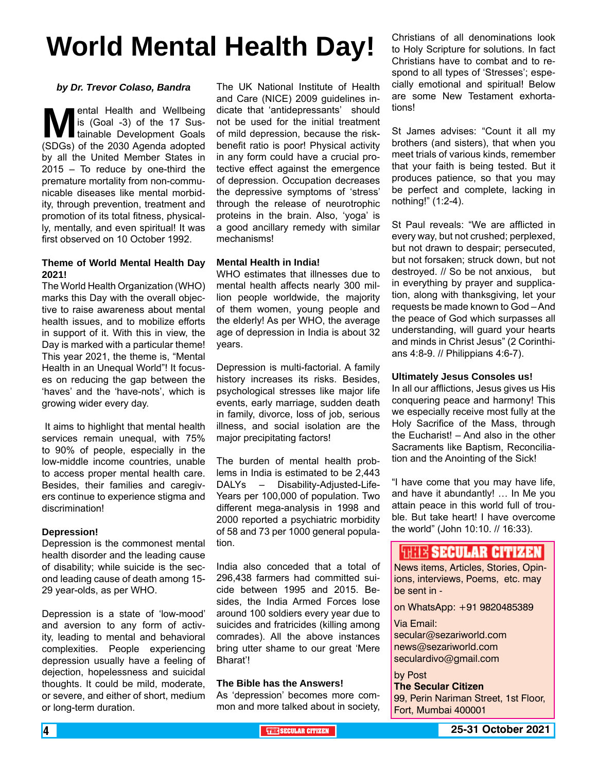# **World Mental Health Day!**

#### *by Dr. Trevor Colaso, Bandra*

**Mental Health and Wellbeing**<br>
is (Goal -3) of the 17 Sus-<br>
(SDGs) of the 2030 Agenda adopted is (Goal -3) of the 17 Sustainable Development Goals by all the United Member States in 2015 – To reduce by one-third the premature mortality from non-communicable diseases like mental morbidity, through prevention, treatment and promotion of its total fitness, physically, mentally, and even spiritual! It was first observed on 10 October 1992.

#### **Theme of World Mental Health Day 2021!**

The World Health Organization (WHO) marks this Day with the overall objective to raise awareness about mental health issues, and to mobilize efforts in support of it. With this in view, the Day is marked with a particular theme! This year 2021, the theme is, "Mental Health in an Unequal World"! It focuses on reducing the gap between the 'haves' and the 'have-nots', which is growing wider every day.

 It aims to highlight that mental health services remain unequal, with 75% to 90% of people, especially in the low-middle income countries, unable to access proper mental health care. Besides, their families and caregivers continue to experience stigma and discrimination!

#### **Depression!**

Depression is the commonest mental health disorder and the leading cause of disability; while suicide is the second leading cause of death among 15- 29 year-olds, as per WHO.

Depression is a state of 'low-mood' and aversion to any form of activity, leading to mental and behavioral complexities. People experiencing depression usually have a feeling of dejection, hopelessness and suicidal thoughts. It could be mild, moderate, or severe, and either of short, medium or long-term duration.

The UK National Institute of Health and Care (NICE) 2009 guidelines indicate that 'antidepressants' should not be used for the initial treatment of mild depression, because the riskbenefit ratio is poor! Physical activity in any form could have a crucial protective effect against the emergence of depression. Occupation decreases the depressive symptoms of 'stress' through the release of neurotrophic proteins in the brain. Also, 'yoga' is a good ancillary remedy with similar mechanisms!

#### **Mental Health in India!**

WHO estimates that illnesses due to mental health affects nearly 300 million people worldwide, the majority of them women, young people and the elderly! As per WHO, the average age of depression in India is about 32 years.

Depression is multi-factorial. A family history increases its risks. Besides, psychological stresses like major life events, early marriage, sudden death in family, divorce, loss of job, serious illness, and social isolation are the major precipitating factors!

The burden of mental health problems in India is estimated to be 2,443 DALYs – Disability-Adjusted-Life-Years per 100,000 of population. Two different mega-analysis in 1998 and 2000 reported a psychiatric morbidity of 58 and 73 per 1000 general population.

India also conceded that a total of 296,438 farmers had committed suicide between 1995 and 2015. Besides, the India Armed Forces lose around 100 soldiers every year due to suicides and fratricides (killing among comrades). All the above instances bring utter shame to our great 'Mere Bharat'!

#### **The Bible has the Answers!**

As 'depression' becomes more common and more talked about in society,

Christians of all denominations look to Holy Scripture for solutions. In fact Christians have to combat and to respond to all types of 'Stresses'; especially emotional and spiritual! Below are some New Testament exhortations!

St James advises: "Count it all my brothers (and sisters), that when you meet trials of various kinds, remember that your faith is being tested. But it produces patience, so that you may be perfect and complete, lacking in nothing!" (1:2-4).

St Paul reveals: "We are afflicted in every way, but not crushed; perplexed, but not drawn to despair; persecuted, but not forsaken; struck down, but not destroyed. // So be not anxious, but in everything by prayer and supplication, along with thanksgiving, let your requests be made known to God – And the peace of God which surpasses all understanding, will guard your hearts and minds in Christ Jesus" (2 Corinthians 4:8-9. // Philippians 4:6-7).

#### **Ultimately Jesus Consoles us!**

In all our afflictions, Jesus gives us His conquering peace and harmony! This we especially receive most fully at the Holy Sacrifice of the Mass, through the Eucharist! – And also in the other Sacraments like Baptism, Reconciliation and the Anointing of the Sick!

"I have come that you may have life, and have it abundantly! … In Me you attain peace in this world full of trouble. But take heart! I have overcome the world" (John 10:10. // 16:33).

### **THEFR SECULAR CITIZEN**

News items, Articles, Stories, Opinions, interviews, Poems, etc. may be sent in -

on WhatsApp: +91 9820485389

#### Via Email:

secular@sezariworld.com news@sezariworld.com seculardivo@gmail.com

#### by Post

**The Secular Citizen** 99, Perin Nariman Street, 1st Floor, Fort, Mumbai 400001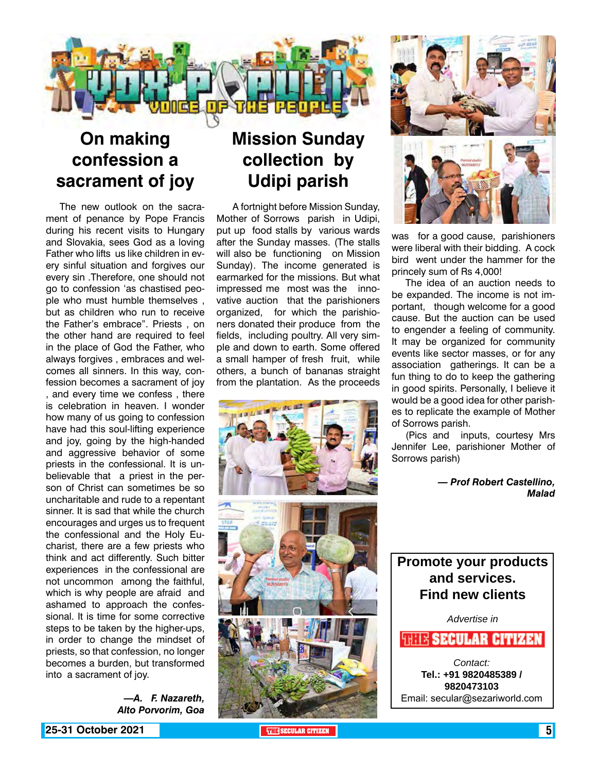

### **On making confession a sacrament of joy**

The new outlook on the sacrament of penance by Pope Francis during his recent visits to Hungary and Slovakia, sees God as a loving Father who lifts us like children in every sinful situation and forgives our every sin .Therefore, one should not go to confession 'as chastised people who must humble themselves , but as children who run to receive the Father's embrace". Priests , on the other hand are required to feel in the place of God the Father, who always forgives , embraces and welcomes all sinners. In this way, confession becomes a sacrament of joy , and every time we confess , there is celebration in heaven. I wonder how many of us going to confession have had this soul-lifting experience and joy, going by the high-handed and aggressive behavior of some priests in the confessional. It is unbelievable that a priest in the person of Christ can sometimes be so uncharitable and rude to a repentant sinner. It is sad that while the church encourages and urges us to frequent the confessional and the Holy Eucharist, there are a few priests who think and act differently. Such bitter experiences in the confessional are not uncommon among the faithful, which is why people are afraid and ashamed to approach the confessional. It is time for some corrective steps to be taken by the higher-ups, in order to change the mindset of priests, so that confession, no longer becomes a burden, but transformed into a sacrament of joy.

*—A. F. Nazareth, Alto Porvorim, Goa*

### **Mission Sunday collection by Udipi parish**

 A fortnight before Mission Sunday, Mother of Sorrows parish in Udipi, put up food stalls by various wards after the Sunday masses. (The stalls will also be functioning on Mission Sunday). The income generated is earmarked for the missions. But what impressed me most was the innovative auction that the parishioners organized, for which the parishioners donated their produce from the fields, including poultry. All very simple and down to earth. Some offered a small hamper of fresh fruit, while others, a bunch of bananas straight from the plantation. As the proceeds





was for a good cause, parishioners were liberal with their bidding. A cock bird went under the hammer for the princely sum of Rs 4,000!

The idea of an auction needs to be expanded. The income is not important, though welcome for a good cause. But the auction can be used to engender a feeling of community. It may be organized for community events like sector masses, or for any association gatherings. It can be a fun thing to do to keep the gathering in good spirits. Personally, I believe it would be a good idea for other parishes to replicate the example of Mother of Sorrows parish.

(Pics and inputs, courtesy Mrs Jennifer Lee, parishioner Mother of Sorrows parish)

> *— Prof Robert Castellino, Malad*

### **Promote your products and services. Find new clients**

*Advertise in*

**WHIS SECULAR CITIZEN** 

*Contact:* **Tel.: +91 9820485389 / 9820473103** Email: secular@sezariworld.com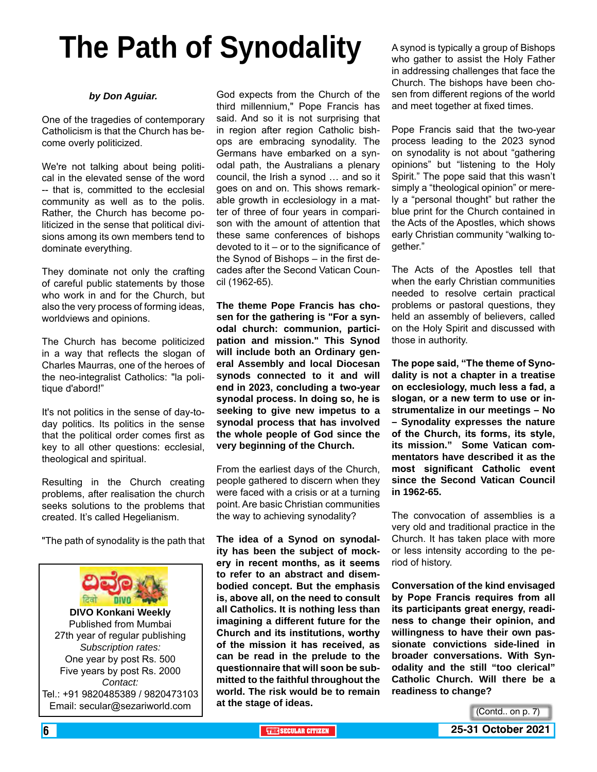# **The Path of Synodality**

#### *by Don Aguiar.*

One of the tragedies of contemporary Catholicism is that the Church has become overly politicized.

We're not talking about being political in the elevated sense of the word -- that is, committed to the ecclesial community as well as to the polis. Rather, the Church has become politicized in the sense that political divisions among its own members tend to dominate everything.

They dominate not only the crafting of careful public statements by those who work in and for the Church, but also the very process of forming ideas, worldviews and opinions.

The Church has become politicized in a way that reflects the slogan of Charles Maurras, one of the heroes of the neo-integralist Catholics: "la politique d'abord!"

It's not politics in the sense of day-today politics. Its politics in the sense that the political order comes first as key to all other questions: ecclesial, theological and spiritual.

Resulting in the Church creating problems, after realisation the church seeks solutions to the problems that created. It's called Hegelianism.

"The path of synodality is the path that



God expects from the Church of the third millennium," Pope Francis has said. And so it is not surprising that in region after region Catholic bishops are embracing synodality. The Germans have embarked on a synodal path, the Australians a plenary council, the Irish a synod … and so it goes on and on. This shows remarkable growth in ecclesiology in a matter of three of four years in comparison with the amount of attention that these same conferences of bishops devoted to it – or to the significance of the Synod of Bishops – in the first decades after the Second Vatican Council (1962-65).

**The theme Pope Francis has chosen for the gathering is "For a synodal church: communion, participation and mission." This Synod will include both an Ordinary general Assembly and local Diocesan synods connected to it and will end in 2023, concluding a two-year synodal process. In doing so, he is seeking to give new impetus to a synodal process that has involved the whole people of God since the very beginning of the Church.**

From the earliest days of the Church, people gathered to discern when they were faced with a crisis or at a turning point. Are basic Christian communities the way to achieving synodality?

**The idea of a Synod on synodality has been the subject of mockery in recent months, as it seems to refer to an abstract and disembodied concept. But the emphasis is, above all, on the need to consult all Catholics. It is nothing less than imagining a different future for the Church and its institutions, worthy of the mission it has received, as can be read in the prelude to the questionnaire that will soon be submitted to the faithful throughout the world. The risk would be to remain at the stage of ideas.**

A synod is typically a group of Bishops who gather to assist the Holy Father in addressing challenges that face the Church. The bishops have been chosen from different regions of the world and meet together at fixed times.

Pope Francis said that the two-year process leading to the 2023 synod on synodality is not about "gathering opinions" but "listening to the Holy Spirit." The pope said that this wasn't simply a "theological opinion" or merely a "personal thought" but rather the blue print for the Church contained in the Acts of the Apostles, which shows early Christian community "walking together."

The Acts of the Apostles tell that when the early Christian communities needed to resolve certain practical problems or pastoral questions, they held an assembly of believers, called on the Holy Spirit and discussed with those in authority.

**The pope said, "The theme of Synodality is not a chapter in a treatise on ecclesiology, much less a fad, a slogan, or a new term to use or instrumentalize in our meetings – No – Synodality expresses the nature of the Church, its forms, its style, its mission." Some Vatican commentators have described it as the most significant Catholic event since the Second Vatican Council in 1962-65.**

The convocation of assemblies is a very old and traditional practice in the Church. It has taken place with more or less intensity according to the period of history.

**Conversation of the kind envisaged by Pope Francis requires from all its participants great energy, readiness to change their opinion, and willingness to have their own passionate convictions side-lined in broader conversations. With Synodality and the still "too clerical" Catholic Church. Will there be a readiness to change?**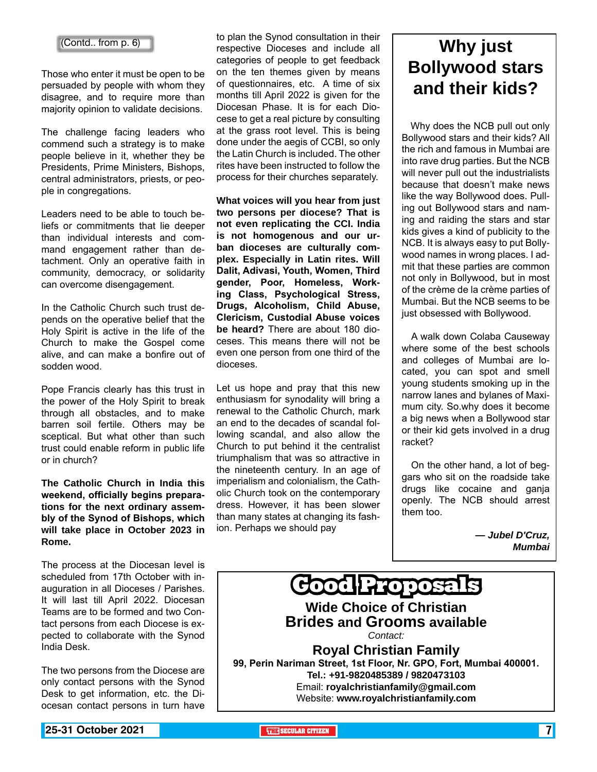(Contd.. from p. 6)

Those who enter it must be open to be persuaded by people with whom they disagree, and to require more than majority opinion to validate decisions.

The challenge facing leaders who commend such a strategy is to make people believe in it, whether they be Presidents, Prime Ministers, Bishops, central administrators, priests, or people in congregations.

Leaders need to be able to touch beliefs or commitments that lie deeper than individual interests and command engagement rather than detachment. Only an operative faith in community, democracy, or solidarity can overcome disengagement.

In the Catholic Church such trust depends on the operative belief that the Holy Spirit is active in the life of the Church to make the Gospel come alive, and can make a bonfire out of sodden wood.

Pope Francis clearly has this trust in the power of the Holy Spirit to break through all obstacles, and to make barren soil fertile. Others may be sceptical. But what other than such trust could enable reform in public life or in church?

**The Catholic Church in India this weekend, officially begins preparations for the next ordinary assembly of the Synod of Bishops, which will take place in October 2023 in Rome.**

The process at the Diocesan level is scheduled from 17th October with inauguration in all Dioceses / Parishes. It will last till April 2022. Diocesan Teams are to be formed and two Contact persons from each Diocese is expected to collaborate with the Synod India Desk.

The two persons from the Diocese are only contact persons with the Synod Desk to get information, etc. the Diocesan contact persons in turn have

to plan the Synod consultation in their respective Dioceses and include all categories of people to get feedback on the ten themes given by means of questionnaires, etc. A time of six months till April 2022 is given for the Diocesan Phase. It is for each Diocese to get a real picture by consulting at the grass root level. This is being done under the aegis of CCBI, so only the Latin Church is included. The other rites have been instructed to follow the process for their churches separately.

**What voices will you hear from just two persons per diocese? That is not even replicating the CCI. India is not homogenous and our urban dioceses are culturally complex. Especially in Latin rites. Will Dalit, Adivasi, Youth, Women, Third gender, Poor, Homeless, Working Class, Psychological Stress, Drugs, Alcoholism, Child Abuse, Clericism, Custodial Abuse voices be heard?** There are about 180 dioceses. This means there will not be even one person from one third of the dioceses.

Let us hope and pray that this new enthusiasm for synodality will bring a renewal to the Catholic Church, mark an end to the decades of scandal following scandal, and also allow the Church to put behind it the centralist triumphalism that was so attractive in the nineteenth century. In an age of imperialism and colonialism, the Catholic Church took on the contemporary dress. However, it has been slower than many states at changing its fashion. Perhaps we should pay

### **Why just Bollywood stars and their kids?**

 Why does the NCB pull out only Bollywood stars and their kids? All the rich and famous in Mumbai are into rave drug parties. But the NCB will never pull out the industrialists because that doesn't make news like the way Bollywood does. Pulling out Bollywood stars and naming and raiding the stars and star kids gives a kind of publicity to the NCB. It is always easy to put Bollywood names in wrong places. I admit that these parties are common not only in Bollywood, but in most of the crème de la crème parties of Mumbai. But the NCB seems to be just obsessed with Bollywood.

 A walk down Colaba Causeway where some of the best schools and colleges of Mumbai are located, you can spot and smell young students smoking up in the narrow lanes and bylanes of Maximum city. So.why does it become a big news when a Bollywood star or their kid gets involved in a drug racket?

 On the other hand, a lot of beggars who sit on the roadside take drugs like cocaine and ganja openly. The NCB should arrest them too.

> *— Jubel D'Cruz, Mumbai*

**Good Proposals Wide Choice of Christian Brides and Grooms available** *Contact:* **Royal Christian Family 99, Perin Nariman Street, 1st Floor, Nr. GPO, Fort, Mumbai 400001. Tel.: +91-9820485389 / 9820473103** Email: **royalchristianfamily@gmail.com** Website: **www.royalchristianfamily.com**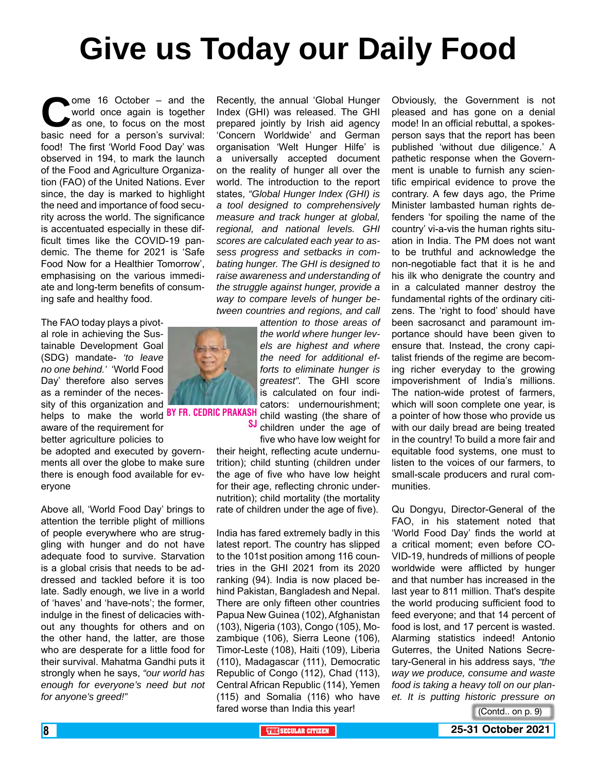# **Give us Today our Daily Food**

ome 16 October – and the world once again is together as one, to focus on the most basic need for a person's survival: world once again is together as one, to focus on the most basic need for a person's survival: food! The first 'World Food Day' was observed in 194, to mark the launch of the Food and Agriculture Organization (FAO) of the United Nations. Ever since, the day is marked to highlight the need and importance of food security across the world. The significance is accentuated especially in these difficult times like the COVID-19 pandemic. The theme for 2021 is 'Safe Food Now for a Healthier Tomorrow', emphasising on the various immediate and long-term benefits of consuming safe and healthy food.

The FAO today plays a pivotal role in achieving the Sustainable Development Goal (SDG) mandate- *'to leave no one behind.'* 'World Food Day' therefore also serves as a reminder of the necessity of this organization and helps to make the world **BY FR. CEDRIC PRAKA** 

aware of the requirement for

better agriculture policies to be adopted and executed by governments all over the globe to make sure there is enough food available for everyone

Above all, 'World Food Day' brings to attention the terrible plight of millions of people everywhere who are struggling with hunger and do not have adequate food to survive. Starvation is a global crisis that needs to be addressed and tackled before it is too late. Sadly enough, we live in a world of 'haves' and 'have-nots'; the former, indulge in the finest of delicacies without any thoughts for others and on the other hand, the latter, are those who are desperate for a little food for their survival. Mahatma Gandhi puts it strongly when he says, *"our world has enough for everyone's need but not for anyone's greed!"*

Recently, the annual 'Global Hunger Index (GHI) was released. The GHI prepared jointly by Irish aid agency 'Concern Worldwide' and German organisation 'Welt Hunger Hilfe' is a universally accepted document on the reality of hunger all over the world. The introduction to the report states, *"Global Hunger Index (GHI) is a tool designed to comprehensively measure and track hunger at global, regional, and national levels. GHI scores are calculated each year to assess progress and setbacks in combating hunger. The GHI is designed to raise awareness and understanding of the struggle against hunger, provide a way to compare levels of hunger between countries and regions, and call* 

*attention to those areas of the world where hunger levels are highest and where the need for additional efforts to eliminate hunger is greatest".* The GHI score is calculated on four indicators: undernourishment; child wasting (the share of SJ children under the age of

five who have low weight for their height, reflecting acute undernutrition); child stunting (children under the age of five who have low height for their age, reflecting chronic undernutrition); child mortality (the mortality rate of children under the age of five).

India has fared extremely badly in this latest report. The country has slipped to the 101st position among 116 countries in the GHI 2021 from its 2020 ranking (94). India is now placed behind Pakistan, Bangladesh and Nepal. There are only fifteen other countries Papua New Guinea (102), Afghanistan (103), Nigeria (103), Congo (105), Mozambique (106), Sierra Leone (106), Timor-Leste (108), Haiti (109), Liberia (110), Madagascar (111), Democratic Republic of Congo (112), Chad (113), Central African Republic (114), Yemen (115) and Somalia (116) who have fared worse than India this year!

Obviously, the Government is not pleased and has gone on a denial mode! In an official rebuttal, a spokesperson says that the report has been published 'without due diligence.' A pathetic response when the Government is unable to furnish any scientific empirical evidence to prove the contrary. A few days ago, the Prime Minister lambasted human rights defenders 'for spoiling the name of the country' vi-a-vis the human rights situation in India. The PM does not want to be truthful and acknowledge the non-negotiable fact that it is he and his ilk who denigrate the country and in a calculated manner destroy the fundamental rights of the ordinary citizens. The 'right to food' should have been sacrosanct and paramount importance should have been given to ensure that. Instead, the crony capitalist friends of the regime are becoming richer everyday to the growing impoverishment of India's millions. The nation-wide protest of farmers, which will soon complete one year, is a pointer of how those who provide us with our daily bread are being treated in the country! To build a more fair and equitable food systems, one must to listen to the voices of our farmers, to small-scale producers and rural communities.

Qu Dongyu, Director-General of the FAO, in his statement noted that 'World Food Day' finds the world at a critical moment; even before CO-VID-19, hundreds of millions of people worldwide were afflicted by hunger and that number has increased in the last year to 811 million. That's despite the world producing sufficient food to feed everyone; and that 14 percent of food is lost, and 17 percent is wasted. Alarming statistics indeed! Antonio Guterres, the United Nations Secretary-General in his address says, *"the way we produce, consume and waste food is taking a heavy toll on our planet. It is putting historic pressure on* 

(Contd.. on p. 9)

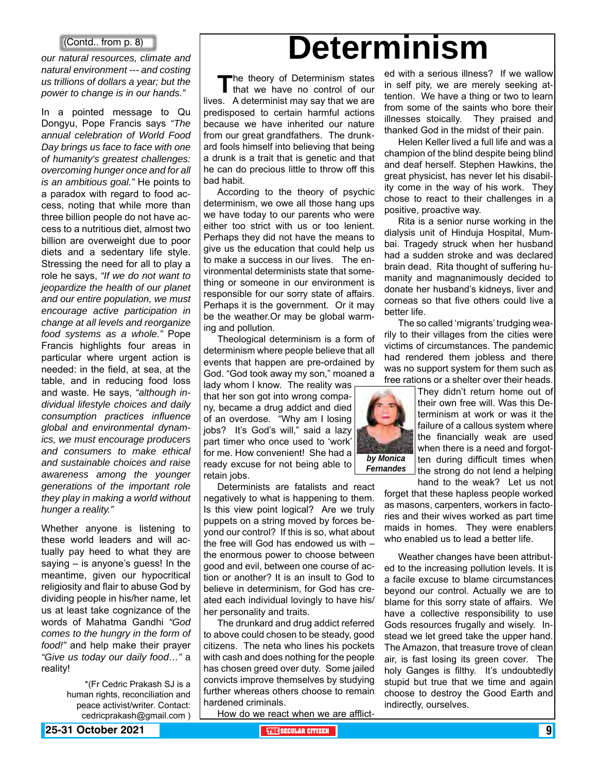#### (Contd.. from p. 8)

*our natural resources, climate and natural environment --- and costing us trillions of dollars a year; but the power to change is in our hands."*

In a pointed message to Qu Dongyu, Pope Francis says *"The annual celebration of World Food Day brings us face to face with one of humanity's greatest challenges: overcoming hunger once and for all is an ambitious goal."* He points to a paradox with regard to food access, noting that while more than three billion people do not have access to a nutritious diet, almost two billion are overweight due to poor diets and a sedentary life style. Stressing the need for all to play a role he says, *"If we do not want to jeopardize the health of our planet and our entire population, we must encourage active participation in change at all levels and reorganize food systems as a whole."* Pope Francis highlights four areas in particular where urgent action is needed: in the field, at sea, at the table, and in reducing food loss and waste. He says, *"although individual lifestyle choices and daily consumption practices influence global and environmental dynamics, we must encourage producers and consumers to make ethical and sustainable choices and raise awareness among the younger generations of the important role they play in making a world without hunger a reality."*

Whether anyone is listening to these world leaders and will actually pay heed to what they are saying – is anyone's guess! In the meantime, given our hypocritical religiosity and flair to abuse God by dividing people in his/her name, let us at least take cognizance of the words of Mahatma Gandhi *"God comes to the hungry in the form of food!"* and help make their prayer *"Give us today our daily food…"* a reality!

> \*(Fr Cedric Prakash SJ is a human rights, reconciliation and peace activist/writer. Contact: cedricprakash@gmail.com )

# **Determinism**

The theory of Determinism states<br>that we have no control of our lives. A determinist may say that we are predisposed to certain harmful actions because we have inherited our nature from our great grandfathers. The drunkard fools himself into believing that being a drunk is a trait that is genetic and that he can do precious little to throw off this bad habit.

According to the theory of psychic determinism, we owe all those hang ups we have today to our parents who were either too strict with us or too lenient. Perhaps they did not have the means to give us the education that could help us to make a success in our lives. The environmental determinists state that something or someone in our environment is responsible for our sorry state of affairs. Perhaps it is the government. Or it may be the weather.Or may be global warming and pollution.

Theological determinism is a form of determinism where people believe that all events that happen are pre-ordained by God. "God took away my son," moaned a lady whom I know. The reality was

that her son got into wrong company, became a drug addict and died of an overdose. "Why am I losing jobs? It's God's will," said a lazy part timer who once used to 'work' for me. How convenient! She had a ready excuse for not being able to retain jobs.

Determinists are fatalists and react negatively to what is happening to them. Is this view point logical? Are we truly puppets on a string moved by forces beyond our control? If this is so, what about the free will God has endowed us with – the enormous power to choose between good and evil, between one course of action or another? It is an insult to God to believe in determinism, for God has created each individual lovingly to have his/ her personality and traits.

The drunkard and drug addict referred to above could chosen to be steady, good citizens. The neta who lines his pockets with cash and does nothing for the people has chosen greed over duty. Some jailed convicts improve themselves by studying further whereas others choose to remain hardened criminals.

How do we react when we are afflict-

ed with a serious illness? If we wallow in self pity, we are merely seeking attention. We have a thing or two to learn from some of the saints who bore their illnesses stoically. They praised and thanked God in the midst of their pain.

Helen Keller lived a full life and was a champion of the blind despite being blind and deaf herself. Stephen Hawkins, the great physicist, has never let his disability come in the way of his work. They chose to react to their challenges in a positive, proactive way.

Rita is a senior nurse working in the dialysis unit of Hinduja Hospital, Mumbai. Tragedy struck when her husband had a sudden stroke and was declared brain dead. Rita thought of suffering humanity and magnanimously decided to donate her husband's kidneys, liver and corneas so that five others could live a better life.

The so called 'migrants' trudging wearily to their villages from the cities were victims of circumstances. The pandemic had rendered them jobless and there was no support system for them such as free rations or a shelter over their heads.



*Fernandes*

They didn't return home out of their own free will. Was this Determinism at work or was it the failure of a callous system where the financially weak are used when there is a need and forgotten during difficult times when the strong do not lend a helping hand to the weak? Let us not

forget that these hapless people worked as masons, carpenters, workers in factories and their wives worked as part time maids in homes. They were enablers who enabled us to lead a better life.

Weather changes have been attributed to the increasing pollution levels. It is a facile excuse to blame circumstances beyond our control. Actually we are to blame for this sorry state of affairs. We have a collective responsibility to use Gods resources frugally and wisely. Instead we let greed take the upper hand. The Amazon, that treasure trove of clean air, is fast losing its green cover. The holy Ganges is filthy. It's undoubtedly stupid but true that we time and again choose to destroy the Good Earth and indirectly, ourselves.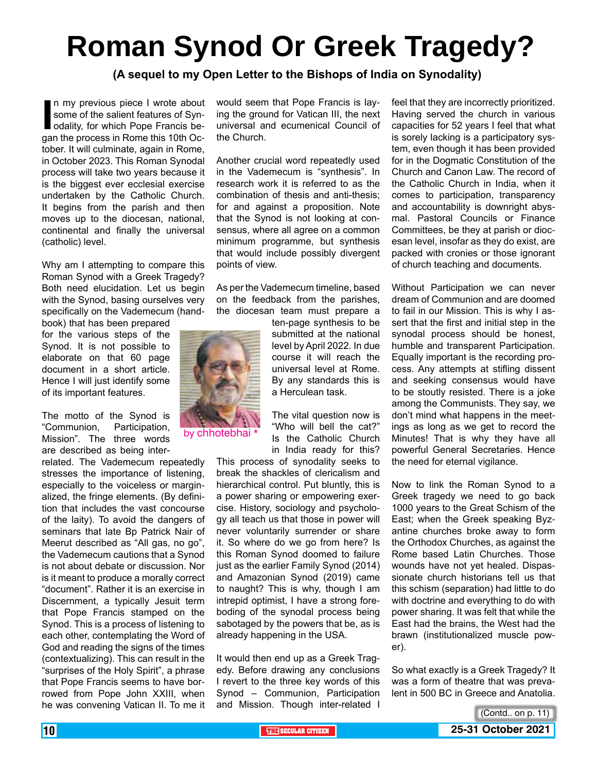# **Roman Synod Or Greek Tragedy?**

**(A sequel to my Open Letter to the Bishops of India on Synodality)** 

In my previous piece I wrote about<br>
some of the salient features of Syn-<br>
odality, for which Pope Francis be-<br>
gan the process in Rome this 10th Ocn my previous piece I wrote about some of the salient features of Synodality, for which Pope Francis betober. It will culminate, again in Rome, in October 2023. This Roman Synodal process will take two years because it is the biggest ever ecclesial exercise undertaken by the Catholic Church. It begins from the parish and then moves up to the diocesan, national, continental and finally the universal (catholic) level.

Why am I attempting to compare this Roman Synod with a Greek Tragedy? Both need elucidation. Let us begin with the Synod, basing ourselves very specifically on the Vademecum (hand-

book) that has been prepared for the various steps of the Synod. It is not possible to elaborate on that 60 page document in a short article. Hence I will just identify some of its important features.

The motto of the Synod is "Communion, Participation, Mission". The three words are described as being inter-

related. The Vademecum repeatedly stresses the importance of listening, especially to the voiceless or marginalized, the fringe elements. (By definition that includes the vast concourse of the laity). To avoid the dangers of seminars that late Bp Patrick Nair of Meerut described as "All gas, no go", the Vademecum cautions that a Synod is not about debate or discussion. Nor is it meant to produce a morally correct "document". Rather it is an exercise in Discernment, a typically Jesuit term that Pope Francis stamped on the Synod. This is a process of listening to each other, contemplating the Word of God and reading the signs of the times (contextualizing). This can result in the "surprises of the Holy Spirit", a phrase that Pope Francis seems to have borrowed from Pope John XXIII, when he was convening Vatican II. To me it would seem that Pope Francis is laying the ground for Vatican III, the next universal and ecumenical Council of the Church.

Another crucial word repeatedly used in the Vademecum is "synthesis". In research work it is referred to as the combination of thesis and anti-thesis; for and against a proposition. Note that the Synod is not looking at consensus, where all agree on a common minimum programme, but synthesis that would include possibly divergent points of view.

As per the Vademecum timeline, based on the feedback from the parishes, the diocesan team must prepare a

> ten-page synthesis to be submitted at the national level by April 2022. In due course it will reach the universal level at Rome. By any standards this is a Herculean task.

> The vital question now is "Who will bell the cat?" Is the Catholic Church in India ready for this?

This process of synodality seeks to break the shackles of clericalism and hierarchical control. Put bluntly, this is a power sharing or empowering exercise. History, sociology and psychology all teach us that those in power will never voluntarily surrender or share it. So where do we go from here? Is this Roman Synod doomed to failure just as the earlier Family Synod (2014) and Amazonian Synod (2019) came to naught? This is why, though I am intrepid optimist, I have a strong foreboding of the synodal process being sabotaged by the powers that be, as is already happening in the USA.

It would then end up as a Greek Tragedy. Before drawing any conclusions I revert to the three key words of this Synod – Communion, Participation and Mission. Though inter-related I feel that they are incorrectly prioritized. Having served the church in various capacities for 52 years I feel that what is sorely lacking is a participatory system, even though it has been provided for in the Dogmatic Constitution of the Church and Canon Law. The record of the Catholic Church in India, when it comes to participation, transparency and accountability is downright abysmal. Pastoral Councils or Finance Committees, be they at parish or diocesan level, insofar as they do exist, are packed with cronies or those ignorant of church teaching and documents.

Without Participation we can never dream of Communion and are doomed to fail in our Mission. This is why I assert that the first and initial step in the synodal process should be honest, humble and transparent Participation. Equally important is the recording process. Any attempts at stifling dissent and seeking consensus would have to be stoutly resisted. There is a joke among the Communists. They say, we don't mind what happens in the meetings as long as we get to record the Minutes! That is why they have all powerful General Secretaries. Hence the need for eternal vigilance.

Now to link the Roman Synod to a Greek tragedy we need to go back 1000 years to the Great Schism of the East; when the Greek speaking Byzantine churches broke away to form the Orthodox Churches, as against the Rome based Latin Churches. Those wounds have not yet healed. Dispassionate church historians tell us that this schism (separation) had little to do with doctrine and everything to do with power sharing. It was felt that while the East had the brains, the West had the brawn (institutionalized muscle power).

So what exactly is a Greek Tragedy? It was a form of theatre that was prevalent in 500 BC in Greece and Anatolia.



by chhotebhai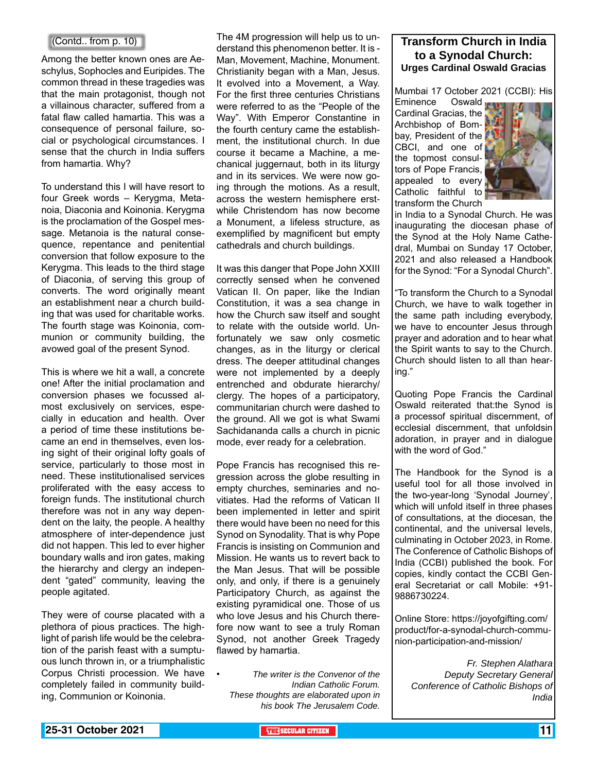#### (Contd.. from p. 10)

Among the better known ones are Aeschylus, Sophocles and Euripides. The common thread in these tragedies was that the main protagonist, though not a villainous character, suffered from a fatal flaw called hamartia. This was a consequence of personal failure, social or psychological circumstances. I sense that the church in India suffers from hamartia. Why?

To understand this I will have resort to four Greek words – Kerygma, Metanoia, Diaconia and Koinonia. Kerygma is the proclamation of the Gospel message. Metanoia is the natural consequence, repentance and penitential conversion that follow exposure to the Kerygma. This leads to the third stage of Diaconia, of serving this group of converts. The word originally meant an establishment near a church building that was used for charitable works. The fourth stage was Koinonia, communion or community building, the avowed goal of the present Synod.

This is where we hit a wall, a concrete one! After the initial proclamation and conversion phases we focussed almost exclusively on services, especially in education and health. Over a period of time these institutions became an end in themselves, even losing sight of their original lofty goals of service, particularly to those most in need. These institutionalised services proliferated with the easy access to foreign funds. The institutional church therefore was not in any way dependent on the laity, the people. A healthy atmosphere of inter-dependence just did not happen. This led to ever higher boundary walls and iron gates, making the hierarchy and clergy an independent "gated" community, leaving the people agitated.

They were of course placated with a plethora of pious practices. The highlight of parish life would be the celebration of the parish feast with a sumptuous lunch thrown in, or a triumphalistic Corpus Christi procession. We have completely failed in community building, Communion or Koinonia.

The 4M progression will help us to understand this phenomenon better. It is - Man, Movement, Machine, Monument. Christianity began with a Man, Jesus. It evolved into a Movement, a Way. For the first three centuries Christians were referred to as the "People of the Way". With Emperor Constantine in the fourth century came the establishment, the institutional church. In due course it became a Machine, a mechanical juggernaut, both in its liturgy and in its services. We were now going through the motions. As a result, across the western hemisphere erstwhile Christendom has now become a Monument, a lifeless structure, as exemplified by magnificent but empty cathedrals and church buildings.

It was this danger that Pope John XXIII correctly sensed when he convened Vatican II. On paper, like the Indian Constitution, it was a sea change in how the Church saw itself and sought to relate with the outside world. Unfortunately we saw only cosmetic changes, as in the liturgy or clerical dress. The deeper attitudinal changes were not implemented by a deeply entrenched and obdurate hierarchy/ clergy. The hopes of a participatory, communitarian church were dashed to the ground. All we got is what Swami Sachidananda calls a church in picnic mode, ever ready for a celebration.

Pope Francis has recognised this regression across the globe resulting in empty churches, seminaries and novitiates. Had the reforms of Vatican II been implemented in letter and spirit there would have been no need for this Synod on Synodality. That is why Pope Francis is insisting on Communion and Mission. He wants us to revert back to the Man Jesus. That will be possible only, and only, if there is a genuinely Participatory Church, as against the existing pyramidical one. Those of us who love Jesus and his Church therefore now want to see a truly Roman Synod, not another Greek Tragedy flawed by hamartia.

• *The writer is the Convenor of the Indian Catholic Forum. These thoughts are elaborated upon in his book The Jerusalem Code.*

#### **Transform Church in India to a Synodal Church: Urges Cardinal Oswald Gracias**

Mumbai 17 October 2021 (CCBI): His<br>Eminence Oswald

Eminence Cardinal Gracias, the Archbishop of Bombay, President of the **Part** CBCI, and one of the topmost consultors of Pope Francis, appealed to every Catholic faithful to transform the Church



in India to a Synodal Church. He was inaugurating the diocesan phase of the Synod at the Holy Name Cathedral, Mumbai on Sunday 17 October, 2021 and also released a Handbook for the Synod: "For a Synodal Church".

"To transform the Church to a Synodal Church, we have to walk together in the same path including everybody, we have to encounter Jesus through prayer and adoration and to hear what the Spirit wants to say to the Church. Church should listen to all than hearing."

Quoting Pope Francis the Cardinal Oswald reiterated that:the Synod is a processof spiritual discernment, of ecclesial discernment, that unfoldsin adoration, in prayer and in dialogue with the word of God."

The Handbook for the Synod is a useful tool for all those involved in the two-year-long 'Synodal Journey', which will unfold itself in three phases of consultations, at the diocesan, the continental, and the universal levels, culminating in October 2023, in Rome. The Conference of Catholic Bishops of India (CCBI) published the book. For copies, kindly contact the CCBI General Secretariat or call Mobile: +91- 9886730224.

Online Store: https://joyofgifting.com/ product/for-a-synodal-church-communion-participation-and-mission/

> *Fr. Stephen Alathara Deputy Secretary General Conference of Catholic Bishops of India*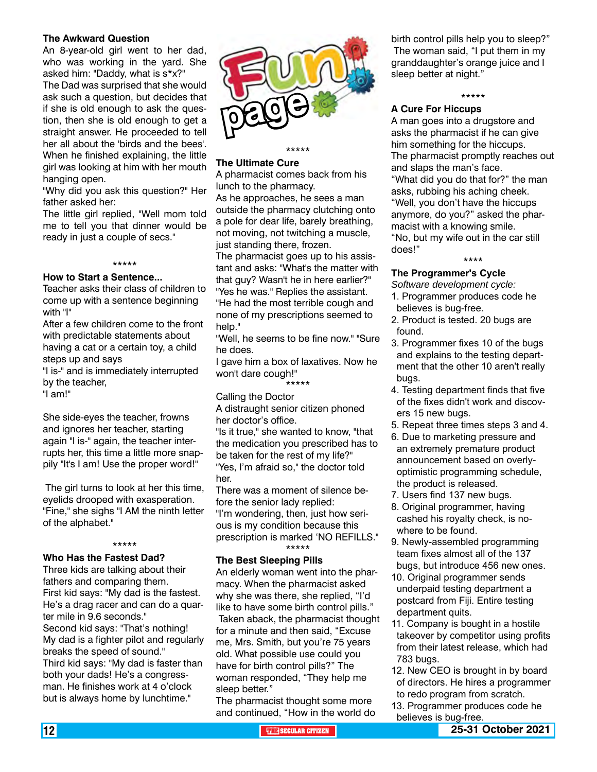#### **The Awkward Question**

An 8-year-old girl went to her dad, who was working in the yard. She asked him: "Daddy, what is s\*x?"

The Dad was surprised that she would ask such a question, but decides that if she is old enough to ask the question, then she is old enough to get a straight answer. He proceeded to tell her all about the 'birds and the bees'. When he finished explaining, the little girl was looking at him with her mouth hanging open.

"Why did you ask this question?" Her father asked her:

The little girl replied, "Well mom told me to tell you that dinner would be ready in just a couple of secs."

#### \*\*\*\*\*

#### **How to Start a Sentence...**

Teacher asks their class of children to come up with a sentence beginning with "I"

After a few children come to the front with predictable statements about having a cat or a certain toy, a child steps up and says

"I is-" and is immediately interrupted by the teacher,

"I am!"

She side-eyes the teacher, frowns and ignores her teacher, starting again "I is-" again, the teacher interrupts her, this time a little more snappily "It's I am! Use the proper word!"

 The girl turns to look at her this time, eyelids drooped with exasperation. "Fine," she sighs "I AM the ninth letter of the alphabet."

#### \*\*\*\*\*

#### **Who Has the Fastest Dad?**

Three kids are talking about their fathers and comparing them. First kid says: "My dad is the fastest. He's a drag racer and can do a quarter mile in 9.6 seconds." Second kid says: "That's nothing! My dad is a fighter pilot and regularly breaks the speed of sound." Third kid says: "My dad is faster than both your dads! He's a congressman. He finishes work at 4 o'clock but is always home by lunchtime."



#### **The Ultimate Cure**

A pharmacist comes back from his lunch to the pharmacy.

As he approaches, he sees a man outside the pharmacy clutching onto a pole for dear life, barely breathing, not moving, not twitching a muscle, just standing there, frozen. The pharmacist goes up to his assistant and asks: "What's the matter with that guy? Wasn't he in here earlier?" "Yes he was." Replies the assistant. "He had the most terrible cough and none of my prescriptions seemed to help."

"Well, he seems to be fine now." "Sure he does.

I gave him a box of laxatives. Now he won't dare cough!"

\*\*\*\*\*

#### Calling the Doctor

A distraught senior citizen phoned her doctor's office.

"Is it true," she wanted to know, "that the medication you prescribed has to be taken for the rest of my life?" "Yes, I'm afraid so," the doctor told her.

There was a moment of silence before the senior lady replied: "I'm wondering, then, just how serious is my condition because this prescription is marked 'NO REFILLS." \*\*\*\*\*

#### **The Best Sleeping Pills**

An elderly woman went into the pharmacy. When the pharmacist asked why she was there, she replied, "I'd like to have some birth control pills." Taken aback, the pharmacist thought for a minute and then said, "Excuse me, Mrs. Smith, but you're 75 years old. What possible use could you have for birth control pills?" The woman responded, "They help me sleep better."

The pharmacist thought some more and continued, "How in the world do birth control pills help you to sleep?" The woman said, "I put them in my granddaughter's orange juice and I sleep better at night."

#### \*\*\*\*\*

#### **A Cure For Hiccups**

A man goes into a drugstore and asks the pharmacist if he can give him something for the hiccups. The pharmacist promptly reaches out and slaps the man's face. "What did you do that for?" the man asks, rubbing his aching cheek. "Well, you don't have the hiccups anymore, do you?" asked the pharmacist with a knowing smile. "No, but my wife out in the car still does!"

#### \*\*\*\*

#### **The Programmer's Cycle**

*Software development cycle:* 

- 1. Programmer produces code he believes is bug-free.
- 2. Product is tested. 20 bugs are found.
- 3. Programmer fixes 10 of the bugs and explains to the testing department that the other 10 aren't really bugs.
- 4. Testing department finds that five of the fixes didn't work and discovers 15 new bugs.
- 5. Repeat three times steps 3 and 4.
- 6. Due to marketing pressure and an extremely premature product announcement based on overlyoptimistic programming schedule, the product is released.
- 7. Users find 137 new bugs.
- 8. Original programmer, having cashed his royalty check, is nowhere to be found.
- 9. Newly-assembled programming team fixes almost all of the 137 bugs, but introduce 456 new ones.
- 10. Original programmer sends underpaid testing department a postcard from Fiji. Entire testing department quits.
- 11. Company is bought in a hostile takeover by competitor using profits from their latest release, which had 783 bugs.
- 12. New CEO is brought in by board of directors. He hires a programmer to redo program from scratch.
- 13. Programmer produces code he believes is bug-free.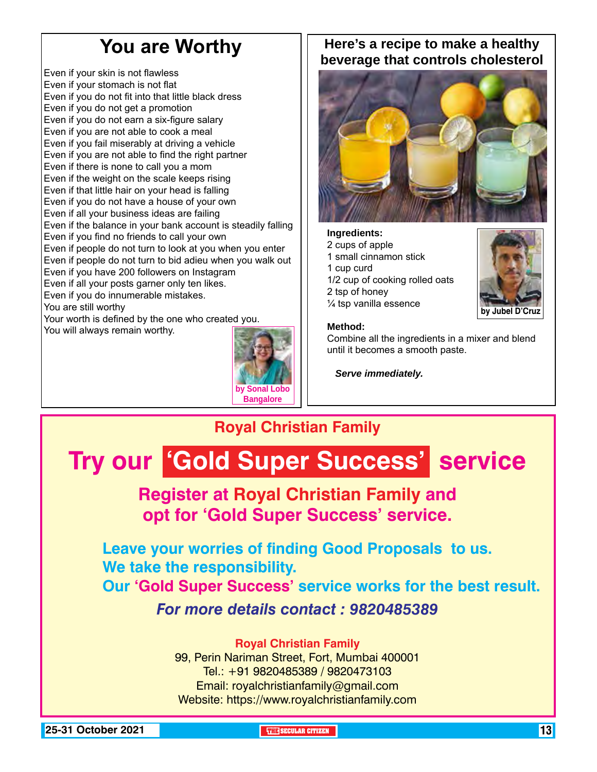### **You are Worthy**

Even if your skin is not flawless Even if your stomach is not flat Even if you do not fit into that little black dress Even if you do not get a promotion Even if you do not earn a six-figure salary Even if you are not able to cook a meal Even if you fail miserably at driving a vehicle Even if you are not able to find the right partner Even if there is none to call you a mom Even if the weight on the scale keeps rising Even if that little hair on your head is falling Even if you do not have a house of your own Even if all your business ideas are failing Even if the balance in your bank account is steadily falling Even if you find no friends to call your own Even if people do not turn to look at you when you enter Even if people do not turn to bid adieu when you walk out Even if you have 200 followers on Instagram Even if all your posts garner only ten likes. Even if you do innumerable mistakes. You are still worthy Your worth is defined by the one who created you. You will always remain worthy.



### **Here's a recipe to make a healthy beverage that controls cholesterol**



#### **Ingredients:** 2 cups of apple 1 small cinnamon stick

- 1 cup curd
- 1/2 cup of cooking rolled oats 2 tsp of honey
- ¼ tsp vanilla essence



#### **Method:**

Combine all the ingredients in a mixer and blend until it becomes a smooth paste.

*Serve immediately.*

### **Royal Christian Family**

# **Try our 'Gold Super Success' service**

### **Register at Royal Christian Family and opt for 'Gold Super Success' service.**

**Leave your worries of finding Good Proposals to us. We take the responsibility. Our 'Gold Super Success' service works for the best result.**

*For more details contact : 9820485389*

### **Royal Christian Family**

99, Perin Nariman Street, Fort, Mumbai 400001 Tel.: +91 9820485389 / 9820473103 Email: royalchristianfamily@gmail.com Website: https://www.royalchristianfamily.com

**25-31 October 2021 THE SECULAR CITIZEN** 13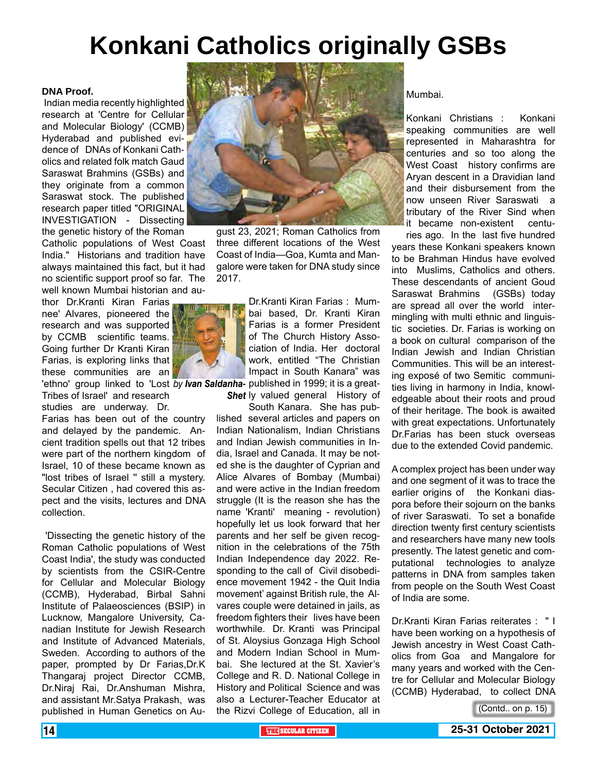## **Konkani Catholics originally GSBs**

#### **DNA Proof.**

Indian media recently highlighted research at 'Centre for Cellular and Molecular Biology' (CCMB) Hyderabad and published evidence of DNAs of Konkani Catholics and related folk match Gaud Saraswat Brahmins (GSBs) and they originate from a common Saraswat stock. The published research paper titled "ORIGINAL INVESTIGATION - Dissecting the genetic history of the Roman

Catholic populations of West Coast India." Historians and tradition have always maintained this fact, but it had no scientific support proof so far. The well known Mumbai historian and au-

thor Dr.Kranti Kiran Farias nee' Alvares, pioneered the research and was supported by CCMB scientific teams. Going further Dr Kranti Kiran Farias, is exploring links that these communities are an

'ethno' group linked to 'Lost *by Ivan Saldanha- p*ublished in 1999; it is a great-Tribes of Israel' and research studies are underway. Dr.

Farias has been out of the country and delayed by the pandemic. Ancient tradition spells out that 12 tribes were part of the northern kingdom of Israel, 10 of these became known as "lost tribes of Israel '' still a mystery. Secular Citizen , had covered this aspect and the visits, lectures and DNA collection.

 'Dissecting the genetic history of the Roman Catholic populations of West Coast India', the study was conducted by scientists from the CSIR-Centre for Cellular and Molecular Biology (CCMB), Hyderabad, Birbal Sahni Institute of Palaeosciences (BSIP) in Lucknow, Mangalore University, Canadian Institute for Jewish Research and Institute of Advanced Materials, Sweden. According to authors of the paper, prompted by Dr Farias,Dr.K Thangaraj project Director CCMB, Dr.Niraj Rai, Dr.Anshuman Mishra, and assistant Mr.Satya Prakash, was published in Human Genetics on Au-



gust 23, 2021; Roman Catholics from three different locations of the West Coast of India—Goa, Kumta and Mangalore were taken for DNA study since 2017.

> Dr.Kranti Kiran Farias : Mumbai based, Dr. Kranti Kiran Farias is a former President of The Church History Association of India. Her doctoral work, entitled "The Christian Impact in South Kanara" was

**Shet** ly valued general History of

South Kanara. She has published several articles and papers on Indian Nationalism, Indian Christians and Indian Jewish communities in India, Israel and Canada. It may be noted she is the daughter of Cyprian and Alice Alvares of Bombay (Mumbai) and were active in the Indian freedom struggle (It is the reason she has the name 'Kranti' meaning - revolution) hopefully let us look forward that her parents and her self be given recognition in the celebrations of the 75th Indian Independence day 2022. Responding to the call of Civil disobedience movement 1942 - the Quit India movement' against British rule, the Alvares couple were detained in jails, as freedom fighters their lives have been worthwhile. Dr. Kranti was Principal of St. Aloysius Gonzaga High School and Modern Indian School in Mumbai. She lectured at the St. Xavier's College and R. D. National College in History and Political Science and was also a Lecturer-Teacher Educator at the Rizvi College of Education, all in Mumbai.

Konkani Christians : Konkani speaking communities are well represented in Maharashtra for centuries and so too along the West Coast history confirms are Aryan descent in a Dravidian land and their disbursement from the now unseen River Saraswati a tributary of the River Sind when it became non-existent centu-

ries ago. In the last five hundred years these Konkani speakers known to be Brahman Hindus have evolved into Muslims, Catholics and others. These descendants of ancient Goud Saraswat Brahmins (GSBs) today are spread all over the world intermingling with multi ethnic and linguistic societies. Dr. Farias is working on a book on cultural comparison of the Indian Jewish and Indian Christian Communities. This will be an interesting exposé of two Semitic communities living in harmony in India, knowledgeable about their roots and proud of their heritage. The book is awaited with great expectations. Unfortunately Dr.Farias has been stuck overseas due to the extended Covid pandemic.

A complex project has been under way and one segment of it was to trace the earlier origins of the Konkani diaspora before their sojourn on the banks of river Saraswati. To set a bonafide direction twenty first century scientists and researchers have many new tools presently. The latest genetic and computational technologies to analyze patterns in DNA from samples taken from people on the South West Coast of India are some.

Dr.Kranti Kiran Farias reiterates : " I have been working on a hypothesis of Jewish ancestry in West Coast Catholics from Goa and Mangalore for many years and worked with the Centre for Cellular and Molecular Biology (CCMB) Hyderabad, to collect DNA

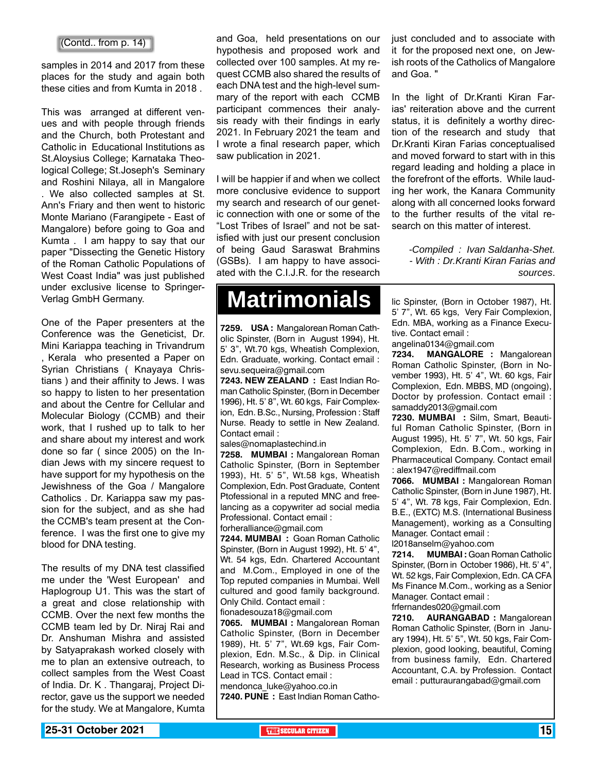samples in 2014 and 2017 from these places for the study and again both these cities and from Kumta in 2018 .

This was arranged at different venues and with people through friends and the Church, both Protestant and Catholic in Educational Institutions as St.Aloysius College; Karnataka Theological College; St.Joseph's Seminary and Roshini Nilaya, all in Mangalore We also collected samples at St. Ann's Friary and then went to historic Monte Mariano (Farangipete - East of Mangalore) before going to Goa and Kumta . I am happy to say that our paper "Dissecting the Genetic History of the Roman Catholic Populations of West Coast India" was just published under exclusive license to Springer-Verlag GmbH Germany.

One of the Paper presenters at the Conference was the Geneticist, Dr. Mini Kariappa teaching in Trivandrum , Kerala who presented a Paper on Syrian Christians ( Knayaya Christians ) and their affinity to Jews. I was so happy to listen to her presentation and about the Centre for Cellular and Molecular Biology (CCMB) and their work, that I rushed up to talk to her and share about my interest and work done so far ( since 2005) on the Indian Jews with my sincere request to have support for my hypothesis on the Jewishness of the Goa / Mangalore Catholics . Dr. Kariappa saw my passion for the subject, and as she had the CCMB's team present at the Conference. I was the first one to give my blood for DNA testing.

The results of my DNA test classified me under the 'West European' and Haplogroup U1. This was the start of a great and close relationship with CCMB. Over the next few months the CCMB team led by Dr. Niraj Rai and Dr. Anshuman Mishra and assisted by Satyaprakash worked closely with me to plan an extensive outreach, to collect samples from the West Coast of India. Dr. K . Thangaraj, Project Director, gave us the support we needed for the study. We at Mangalore, Kumta

hypothesis and proposed work and collected over 100 samples. At my request CCMB also shared the results of each DNA test and the high-level summary of the report with each CCMB participant commences their analysis ready with their findings in early 2021. In February 2021 the team and I wrote a final research paper, which saw publication in 2021.

I will be happier if and when we collect more conclusive evidence to support my search and research of our genetic connection with one or some of the "Lost Tribes of Israel" and not be satisfied with just our present conclusion of being Gaud Saraswat Brahmins (GSBs). I am happy to have associated with the C.I.J.R. for the research

## **Matrimonials**

**7259. USA :** Mangalorean Roman Catholic Spinster, (Born in August 1994), Ht. 5' 3", Wt.70 kgs, Wheatish Complexion, Edn. Graduate, working. Contact email : sevu.sequeira@gmail.com

**7243. NEW ZEALAND :** East Indian Roman Catholic Spinster, (Born in December 1996), Ht. 5' 8", Wt. 60 kgs, Fair Complexion, Edn. B.Sc., Nursing, Profession : Staff Nurse. Ready to settle in New Zealand. Contact email :

sales@nomaplastechind.in

**7258. MUMBAI :** Mangalorean Roman Catholic Spinster, (Born in September 1993), Ht. 5' 5", Wt.58 kgs, Wheatish Complexion, Edn. Post Graduate, Content Ptofessional in a reputed MNC and freelancing as a copywriter ad social media Professional. Contact email : forheralliance@gmail.com

**7244. MUMBAI :** Goan Roman Catholic Spinster, (Born in August 1992), Ht. 5' 4", Wt. 54 kgs, Edn. Chartered Accountant and M.Com., Employed in one of the Top reputed companies in Mumbai. Well cultured and good family background. Only Child. Contact email : fionadesouza18@gmail.com

**7065. MUMBAI :** Mangalorean Roman Catholic Spinster, (Born in December 1989), Ht. 5' 7", Wt.69 kgs, Fair Complexion, Edn. M.Sc., & Dip. in Clinical Research, working as Business Process Lead in TCS. Contact email : mendonca\_luke@yahoo.co.in

**7240. PUNE :** East Indian Roman Catho-

(Contd.. from p. 14) **and Goa, held presentations on our** just concluded and to associate with it for the proposed next one, on Jewish roots of the Catholics of Mangalore and Goa. "

> In the light of Dr.Kranti Kiran Farias' reiteration above and the current status, it is definitely a worthy direction of the research and study that Dr.Kranti Kiran Farias conceptualised and moved forward to start with in this regard leading and holding a place in the forefront of the efforts. While lauding her work, the Kanara Community along with all concerned looks forward to the further results of the vital research on this matter of interest.

> > *-Compiled : Ivan Saldanha-Shet. - With : Dr.Kranti Kiran Farias and sources*.

lic Spinster, (Born in October 1987), Ht. 5' 7", Wt. 65 kgs, Very Fair Complexion, Edn. MBA, working as a Finance Executive. Contact email : angelina0134@gmail.com

**7234. MANGALORE :** Mangalorean Roman Catholic Spinster, (Born in November 1993), Ht. 5' 4", Wt. 60 kgs, Fair Complexion, Edn. MBBS, MD (ongoing), Doctor by profession. Contact email : samaddy2013@gmail.com

**7230. MUMBAI :** Silm, Smart, Beautiful Roman Catholic Spinster, (Born in August 1995), Ht. 5' 7", Wt. 50 kgs, Fair Complexion, Edn. B.Com., working in Pharmaceutical Company. Contact email : alex1947@rediffmail.com

**7066. MUMBAI :** Mangalorean Roman Catholic Spinster, (Born in June 1987), Ht. 5' 4", Wt. 78 kgs, Fair Complexion, Edn. B.E., (EXTC) M.S. (International Business Management), working as a Consulting Manager. Contact email : l2018anselm@yahoo.com

**7214. MUMBAI :** Goan Roman Catholic Spinster, (Born in October 1986), Ht. 5' 4", Wt. 52 kgs, Fair Complexion, Edn. CA CFA Ms Finance M.Com., working as a Senior Manager. Contact email : frfernandes020@gmail.com

**7210. AURANGABAD :** Mangalorean Roman Catholic Spinster, (Born in January 1994), Ht. 5' 5", Wt. 50 kgs, Fair Complexion, good looking, beautiful, Coming from business family, Edn. Chartered Accountant, C.A. by Profession. Contact email : putturaurangabad@gmail.com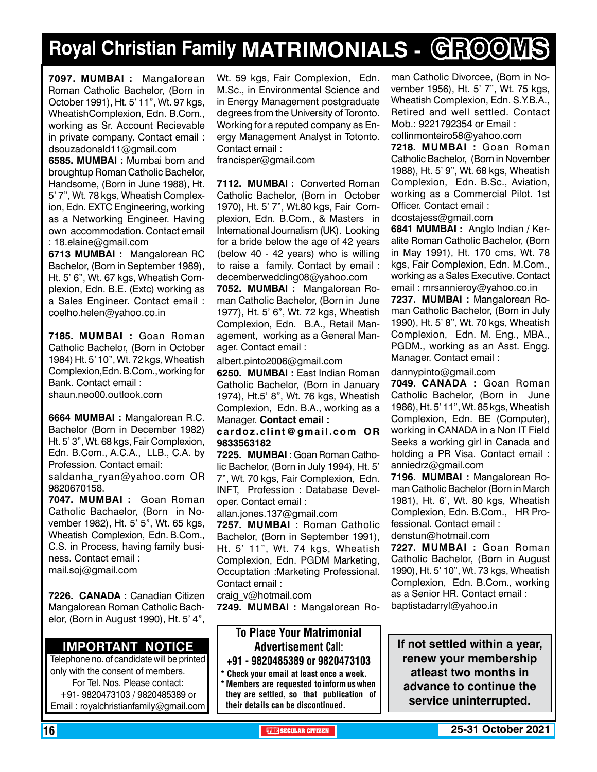## **Royal Christian Family MATRIMONIALS - GROOMS**

**7097. MUMBAI :** Mangalorean Roman Catholic Bachelor, (Born in October 1991), Ht. 5' 11", Wt. 97 kgs, WheatishComplexion, Edn. B.Com., working as Sr. Account Recievable in private company. Contact email : dsouzadonald11@gmail.com

**6585. MUMBAI :** Mumbai born and broughtup Roman Catholic Bachelor, Handsome, (Born in June 1988), Ht. 5' 7", Wt. 78 kgs, Wheatish Complexion, Edn. EXTC Engineering, working as a Networking Engineer. Having own accommodation. Contact email : 18.elaine@gmail.com

**6713 MUMBAI :** Mangalorean RC Bachelor, (Born in September 1989), Ht. 5' 6", Wt. 67 kgs, Wheatish Complexion, Edn. B.E. (Extc) working as a Sales Engineer. Contact email : coelho.helen@yahoo.co.in

**7185. MUMBAI :** Goan Roman Catholic Bachelor, (Born in October 1984) Ht. 5' 10", Wt. 72 kgs, Wheatish Complexion,Edn. B.Com., working for Bank. Contact email : shaun.neo00.outlook.com

**6664 MUMBAI :** Mangalorean R.C. Bachelor (Born in December 1982) Ht. 5' 3", Wt. 68 kgs, Fair Complexion, Edn. B.Com., A.C.A., LLB., C.A. by Profession. Contact email: saldanha ryan@yahoo.com OR 9820670158.

**7047. MUMBAI :** Goan Roman Catholic Bachaelor, (Born in November 1982), Ht. 5' 5", Wt. 65 kgs, Wheatish Complexion, Edn. B.Com., C.S. in Process, having family business. Contact email : mail.soj@gmail.com

**7226. CANADA :** Canadian Citizen Mangalorean Roman Catholic Bachelor, (Born in August 1990), Ht. 5' 4",

### **Important Notice**

Telephone no. of candidate will be printed only with the consent of members. For Tel. Nos. Please contact: +91- 9820473103 / 9820485389 or Email : royalchristianfamily@gmail.com

Wt. 59 kgs, Fair Complexion, Edn. M.Sc., in Environmental Science and in Energy Management postgraduate degrees from the University of Toronto. Working for a reputed company as Energy Management Analyst in Totonto. Contact email :

francisper@gmail.com

**7112. MUMBAI :** Converted Roman Catholic Bachelor, (Born in October 1970), Ht. 5' 7", Wt.80 kgs, Fair Complexion, Edn. B.Com., & Masters in International Journalism (UK). Looking for a bride below the age of 42 years (below 40 - 42 years) who is willing to raise a family. Contact by email : decemberwedding08@yahoo.com

**7052. MUMBAI :** Mangalorean Roman Catholic Bachelor, (Born in June 1977), Ht. 5' 6", Wt. 72 kgs, Wheatish Complexion, Edn. B.A., Retail Management, working as a General Manager. Contact email :

albert.pinto2006@gmail.com

**6250. MUMBAI :** East Indian Roman Catholic Bachelor, (Born in January 1974), Ht.5' 8", Wt. 76 kgs, Wheatish Complexion, Edn. B.A., working as a Manager. Contact email :

cardoz.clint@gmail.com OR 9833563182

**7225. MUMBAI :** Goan Roman Catholic Bachelor, (Born in July 1994), Ht. 5' 7", Wt. 70 kgs, Fair Complexion, Edn. INFT, Profession : Database Developer. Contact email :

allan.jones.137@gmail.com

**7257. MUMBAI :** Roman Catholic Bachelor, (Born in September 1991), Ht. 5' 11", Wt. 74 kgs, Wheatish Complexion, Edn. PGDM Marketing, Occuptation :Marketing Professional. Contact email :

craig\_v@hotmail.com

**7249. MUMBAI :** Mangalorean Ro-

#### To Place Your Matrimonial Advertisement Call: +91 - 9820485389 or 9820473103

Check your email at least once a week. Members are requested to inform us when they are settled, so that publication of their details can be discontinued.

man Catholic Divorcee, (Born in November 1956), Ht. 5' 7", Wt. 75 kgs, Wheatish Complexion, Edn. S.Y.B.A., Retired and well settled. Contact Mob.: 9221792354 or Email : collinmonteiro58@yahoo.com

**7218. MUMBAI :** Goan Roman Catholic Bachelor, (Born in November 1988), Ht. 5' 9", Wt. 68 kgs, Wheatish Complexion, Edn. B.Sc., Aviation, working as a Commercial Pilot. 1st Officer. Contact email : dcostajess@gmail.com

**6841 MuMBAI :** Anglo Indian / Keralite Roman Catholic Bachelor, (Born in May 1991), Ht. 170 cms, Wt. 78 kgs, Fair Complexion, Edn. M.Com., working as a Sales Executive. Contact email : mrsannieroy@yahoo.co.in

**7237. MUMBAI :** Mangalorean Roman Catholic Bachelor, (Born in July 1990), Ht. 5' 8", Wt. 70 kgs, Wheatish Complexion, Edn. M. Eng., MBA., PGDM., working as an Asst. Engg. Manager. Contact email :

dannypinto@gmail.com

**7049. CANADA :** Goan Roman Catholic Bachelor, (Born in June 1986), Ht. 5' 11", Wt. 85 kgs, Wheatish Complexion, Edn. BE (Computer), working in CANADA in a Non IT Field Seeks a working girl in Canada and holding a PR Visa. Contact email : anniedrz@gmail.com

**7196. MUMBAI :** Mangalorean Roman Catholic Bachelor (Born in March 1981), Ht. 6', Wt. 80 kgs, Wheatish Complexion, Edn. B.Com., HR Professional. Contact email : denstun@hotmail.com

**7227. MUMBAI :** Goan Roman Catholic Bachelor, (Born in August 1990), Ht. 5' 10", Wt. 73 kgs, Wheatish Complexion, Edn. B.Com., working as a Senior HR. Contact email : baptistadarryl@yahoo.in

**If not settled within a year, renew your membership atleast two months in advance to continue the service uninterrupted.**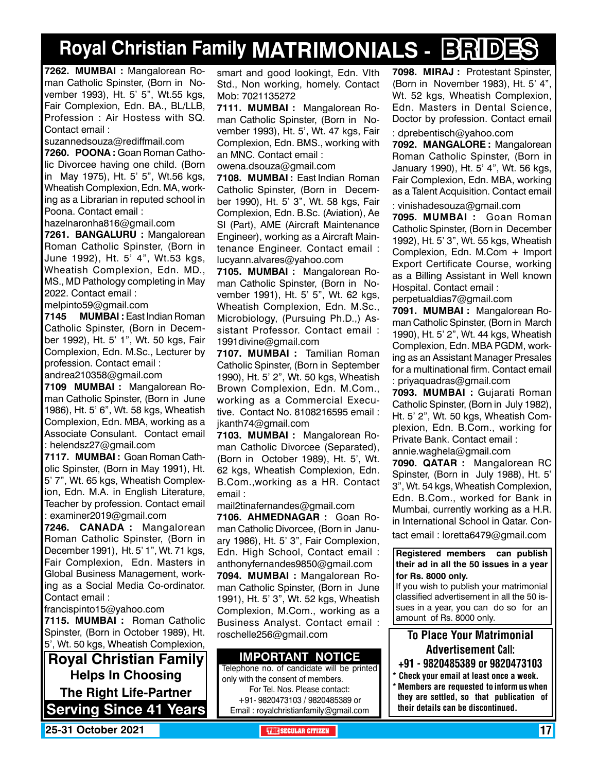## **Royal Christian Family MATRIMONIALS - BRIDES**

**7262. MUMBAI :** Mangalorean Roman Catholic Spinster, (Born in November 1993), Ht. 5' 5", Wt.55 kgs, Fair Complexion, Edn. BA., BL/LLB, Profession : Air Hostess with SQ. Contact email :

suzannedsouza@rediffmail.com

**7260. POONA :** Goan Roman Catholic Divorcee having one child. (Born in May 1975), Ht. 5' 5", Wt.56 kgs, Wheatish Complexion, Edn. MA, working as a Librarian in reputed school in Poona. Contact email :

hazelnaronha816@gmail.com

**7261. bangaluru :** Mangalorean Roman Catholic Spinster, (Born in June 1992), Ht. 5' 4", Wt.53 kgs, Wheatish Complexion, Edn. MD., MS., MD Pathology completing in May 2022. Contact email :

melpinto59@gmail.com

**7145 MUMBAI :** East Indian Roman Catholic Spinster, (Born in December 1992), Ht. 5' 1", Wt. 50 kgs, Fair Complexion, Edn. M.Sc., Lecturer by profession. Contact email :

andrea210358@gmail.com

**7109 MUMBAI :** Mangalorean Roman Catholic Spinster, (Born in June 1986), Ht. 5' 6", Wt. 58 kgs, Wheatish Complexion, Edn. MBA, working as a Associate Consulant. Contact email : helendsz27@gmail.com

**7117. MUMBAI :** Goan Roman Catholic Spinster, (Born in May 1991), Ht. 5' 7", Wt. 65 kgs, Wheatish Complexion, Edn. M.A. in English Literature, Teacher by profession. Contact email : examiner2019@gmail.com

**7246. CANADA :** Mangalorean Roman Catholic Spinster, (Born in December 1991), Ht. 5' 1", Wt. 71 kgs, Fair Complexion, Edn. Masters in Global Business Management, working as a Social Media Co-ordinator. Contact email :

francispinto15@yahoo.com

**7115. MUMBAI :** Roman Catholic Spinster, (Born in October 1989), Ht. 5', Wt. 50 kgs, Wheatish Complexion,

**Royal Christian Family Helps In Choosing The Right Life-Partner Serving Since 41 Years** smart and good lookingt, Edn. VIth Std., Non working, homely. Contact Mob: 7021135272

**7111. MUMBAI :** Mangalorean Roman Catholic Spinster, (Born in November 1993), Ht. 5', Wt. 47 kgs, Fair Complexion, Edn. BMS., working with an MNC. Contact email :

owena.dsouza@gmail.com

**7108. MUMBAI :** East Indian Roman Catholic Spinster, (Born in December 1990), Ht. 5' 3", Wt. 58 kgs, Fair Complexion, Edn. B.Sc. (Aviation), Ae SI (Part), AME (Aircraft Maintenance Engineer), working as a Aircraft Maintenance Engineer. Contact email : lucyann.alvares@yahoo.com

**7105. MUMBAI :** Mangalorean Roman Catholic Spinster, (Born in November 1991), Ht. 5' 5", Wt. 62 kgs, Wheatish Complexion, Edn. M.Sc., Microbiology, (Pursuing Ph.D.,) Assistant Professor. Contact email : 1991divine@gmail.com

**7107. MUMBAI :** Tamilian Roman Catholic Spinster, (Born in September 1990), Ht. 5' 2", Wt. 50 kgs, Wheatish Brown Complexion, Edn. M.Com., working as a Commercial Executive. Contact No. 8108216595 email : jkanth74@gmail.com

**7103. MUMBAI :** Mangalorean Roman Catholic Divorcee (Separated), (Born in October 1989), Ht. 5', Wt. 62 kgs, Wheatish Complexion, Edn. B.Com.,working as a HR. Contact email :

mail2tinafernandes@gmail.com

**7106. Ahmednagar :** Goan Roman Catholic Divorcee, (Born in January 1986), Ht. 5' 3", Fair Complexion, Edn. High School, Contact email : anthonyfernandes9850@gmail.com

**7094. MUMBAI :** Mangalorean Roman Catholic Spinster, (Born in June 1991), Ht. 5' 3", Wt. 52 kgs, Wheatish Complexion, M.Com., working as a Business Analyst. Contact email : roschelle256@gmail.com

#### **Important Notice**

Telephone no. of candidate will be printed only with the consent of members. For Tel. Nos. Please contact: +91- 9820473103 / 9820485389 or Email : royalchristianfamily@gmail.com

**7098. MIRAJ :** Protestant Spinster, (Born in November 1983), Ht. 5' 4", Wt. 52 kgs, Wheatish Complexion, Edn. Masters in Dental Science, Doctor by profession. Contact email

: dprebentisch@yahoo.com

**7092. MANGALORE :** Mangalorean Roman Catholic Spinster, (Born in January 1990), Ht. 5' 4", Wt. 56 kgs, Fair Complexion, Edn. MBA, working as a Talent Acquisition. Contact email

: vinishadesouza@gmail.com

**7095. MUMBAI :** Goan Roman Catholic Spinster, (Born in December 1992), Ht. 5' 3", Wt. 55 kgs, Wheatish Complexion, Edn. M.Com + Import Export Certificate Course, working as a Billing Assistant in Well known Hospital. Contact email :

perpetualdias7@gmail.com

**7091. MUMBAI :** Mangalorean Roman Catholic Spinster, (Born in March 1990), Ht. 5' 2", Wt. 44 kgs, Wheatish Complexion, Edn. MBA PGDM, working as an Assistant Manager Presales for a multinational firm. Contact email : priyaquadras@gmail.com

**7093. MUMBAI :** Gujarati Roman Catholic Spinster, (Born in July 1982), Ht. 5' 2", Wt. 50 kgs, Wheatish Complexion, Edn. B.Com., working for Private Bank. Contact email :

annie.waghela@gmail.com

**7090. QATAR :** Mangalorean RC Spinster, (Born in July 1988), Ht. 5' 3", Wt. 54 kgs, Wheatish Complexion, Edn. B.Com., worked for Bank in Mumbai, currently working as a H.R. in International School in Qatar. Con-

tact email : loretta6479@gmail.com

**Registered members can publish their ad in all the 50 issues in a year for Rs. 8000 only.**

If you wish to publish your matrimonial classified advertisement in all the 50 issues in a year, you can do so for an amount of Rs. 8000 only.

### To Place Your Matrimonial Advertisement Call:

- +91 9820485389 or 9820473103
- \* Check your email at least once a week. \* Members are requested to inform us when they are settled, so that publication of their details can be discontinued.

**25-31 October 2021 THE SECULAR CITIZEN** 17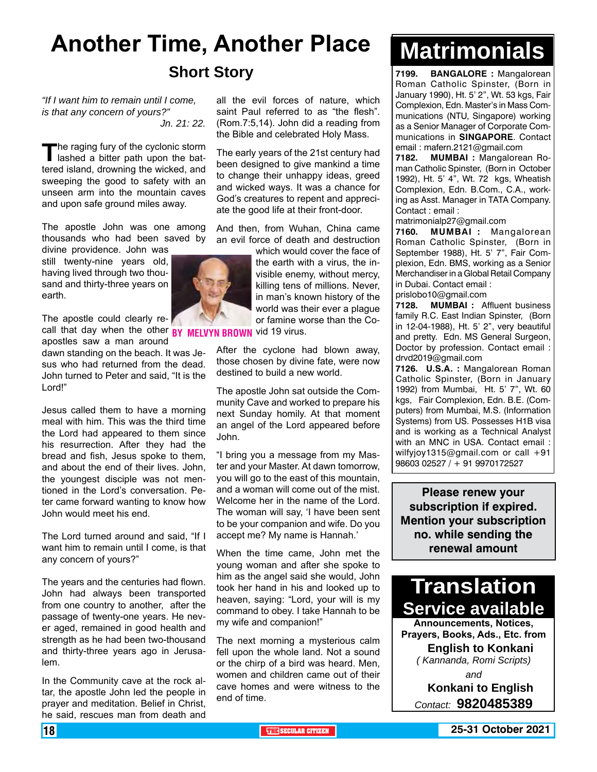## **Another Time, Another Place Short Story**

*"If I want him to remain until I come, is that any concern of yours?" Jn. 21: 22.*

The raging fury of the cyclonic storm<br>
lashed a bitter path upon the battered island, drowning the wicked, and sweeping the good to safety with an unseen arm into the mountain caves and upon safe ground miles away.

The apostle John was one among thousands who had been saved by

divine providence. John was still twenty-nine years old, having lived through two thousand and thirty-three years on earth.

The apostle could clearly re-

apostles saw a man around dawn standing on the beach. It was Jesus who had returned from the dead. John turned to Peter and said, "It is the Lord!"

Jesus called them to have a morning meal with him. This was the third time the Lord had appeared to them since his resurrection. After they had the bread and fish, Jesus spoke to them, and about the end of their lives. John, the youngest disciple was not mentioned in the Lord's conversation. Peter came forward wanting to know how John would meet his end.

The Lord turned around and said, "If I want him to remain until I come, is that any concern of yours?"

The years and the centuries had flown. John had always been transported from one country to another, after the passage of twenty-one years. He never aged, remained in good health and strength as he had been two-thousand and thirty-three years ago in Jerusalem.

In the Community cave at the rock altar, the apostle John led the people in prayer and meditation. Belief in Christ, he said, rescues man from death and

all the evil forces of nature, which saint Paul referred to as "the flesh". (Rom.7:5,14). John did a reading from the Bible and celebrated Holy Mass.

The early years of the 21st century had been designed to give mankind a time to change their unhappy ideas, greed and wicked ways. It was a chance for God's creatures to repent and appreciate the good life at their front-door.

And then, from Wuhan, China came an evil force of death and destruction

which would cover the face of the earth with a virus, the invisible enemy, without mercy, killing tens of millions. Never, in man's known history of the world was their ever a plague or famine worse than the Co-

call that day when the other **BY MELVYN BROWN** vid 19 virus.

After the cyclone had blown away, those chosen by divine fate, were now destined to build a new world.

The apostle John sat outside the Community Cave and worked to prepare his next Sunday homily. At that moment an angel of the Lord appeared before John.

"I bring you a message from my Master and your Master. At dawn tomorrow, you will go to the east of this mountain, and a woman will come out of the mist. Welcome her in the name of the Lord. The woman will say, 'I have been sent to be your companion and wife. Do you accept me? My name is Hannah.'

When the time came, John met the young woman and after she spoke to him as the angel said she would, John took her hand in his and looked up to heaven, saying: "Lord, your will is my command to obey. I take Hannah to be my wife and companion!"

The next morning a mysterious calm fell upon the whole land. Not a sound or the chirp of a bird was heard. Men, women and children came out of their cave homes and were witness to the end of time.

# **Matrimonials**

**7199. BANGALORE :** Mangalorean Roman Catholic Spinster, (Born in January 1990), Ht. 5' 2", Wt. 53 kgs, Fair Complexion, Edn. Master's in Mass Communications (NTU, Singapore) working as a Senior Manager of Corporate Communications in **SINGAPORE**. Contact email : mafern.2121@gmail.com

**7182. MUMBAI :** Mangalorean Roman Catholic Spinster, (Born in October 1992), Ht. 5' 4", Wt. 72 kgs, Wheatish Complexion, Edn. B.Com., C.A., working as Asst. Manager in TATA Company. Contact : email :

matrimonialp27@gmail.com

**7160. MUMBAI :** Mangalorean Roman Catholic Spinster, (Born in September 1988), Ht. 5' 7", Fair Complexion, Edn. BMS, working as a Senior Merchandiser in a Global Retail Company in Dubai. Contact email :

prislobo10@gmail.com

**7128. MUMBAI :** Affluent business family R.C. East Indian Spinster, (Born in 12-04-1988), Ht. 5' 2", very beautiful and pretty. Edn. MS General Surgeon, Doctor by profession. Contact email : drvd2019@gmail.com

**7126. U.S.A. :** Mangalorean Roman Catholic Spinster, (Born in January 1992) from Mumbai, Ht. 5' 7", Wt. 60 kgs, Fair Complexion, Edn. B.E. (Computers) from Mumbai, M.S. (Information Systems) from US. Possesses H1B visa and is working as a Technical Analyst with an MNC in USA. Contact email : wilfyjoy1315@gmail.com or call +91 98603 02527 / + 91 9970172527

**Please renew your subscription if expired. Mention your subscription no. while sending the renewal amount**



**Announcements, Notices, Prayers, Books, Ads., Etc. from English to Konkani** *( Kannanda, Romi Scripts) and*

> **Konkani to English** *Contact:* **9820485389**

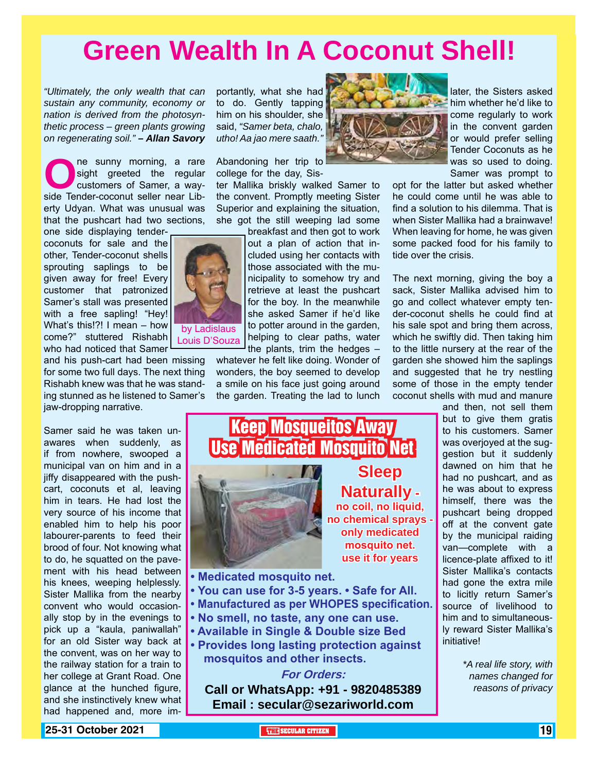## **Green Wealth In A Coconut Shell!**

*"Ultimately, the only wealth that can sustain any community, economy or nation is derived from the photosynthetic process – green plants growing on regenerating soil." – Allan Savory*

**O**ne sunny morning, a rare sight greeted the regular customers of Samer, a way-<br>side Tender-coconut seller near Libsight greeted the regular customers of Samer, a wayerty Udyan. What was unusual was that the pushcart had two sections,

one side displaying tendercoconuts for sale and the other, Tender-coconut shells sprouting saplings to be given away for free! Every customer that patronized Samer's stall was presented with a free sapling! "Hey! What's this!?! I mean – how come?" stuttered Rishabh who had noticed that Samer

and his push-cart had been missing for some two full days. The next thing Rishabh knew was that he was standing stunned as he listened to Samer's jaw-dropping narrative.

Samer said he was taken unawares when suddenly, as if from nowhere, swooped a municipal van on him and in a jiffy disappeared with the pushcart, coconuts et al, leaving him in tears. He had lost the very source of his income that enabled him to help his poor labourer-parents to feed their brood of four. Not knowing what to do, he squatted on the pavement with his head between his knees, weeping helplessly. Sister Mallika from the nearby convent who would occasionally stop by in the evenings to pick up a "kaula, paniwallah" for an old Sister way back at the convent, was on her way to the railway station for a train to her college at Grant Road. One glance at the hunched figure, and she instinctively knew what had happened and, more importantly, what she had to do. Gently tapping him on his shoulder, she said, *"Samer beta, chalo, utho! Aa jao mere saath."*

Abandoning her trip to college for the day, Sis-

ter Mallika briskly walked Samer to the convent. Promptly meeting Sister Superior and explaining the situation, she got the still weeping lad some

> breakfast and then got to work out a plan of action that included using her contacts with those associated with the municipality to somehow try and retrieve at least the pushcart for the boy. In the meanwhile she asked Samer if he'd like to potter around in the garden, helping to clear paths, water the plants, trim the hedges –

whatever he felt like doing. Wonder of wonders, the boy seemed to develop a smile on his face just going around the garden. Treating the lad to lunch

Keep Mosqueitos Away



later, the Sisters asked him whether he'd like to come regularly to work in the convent garden or would prefer selling Tender Coconuts as he was so used to doing. Samer was prompt to

opt for the latter but asked whether he could come until he was able to find a solution to his dilemma. That is when Sister Mallika had a brainwave! When leaving for home, he was given some packed food for his family to tide over the crisis.

The next morning, giving the boy a sack, Sister Mallika advised him to go and collect whatever empty tender-coconut shells he could find at his sale spot and bring them across, which he swiftly did. Then taking him to the little nursery at the rear of the garden she showed him the saplings and suggested that he try nestling some of those in the empty tender coconut shells with mud and manure

> and then, not sell them but to give them gratis to his customers. Samer was overjoyed at the suggestion but it suddenly dawned on him that he had no pushcart, and as he was about to express himself, there was the pushcart being dropped off at the convent gate by the municipal raiding van—complete with a licence-plate affixed to it! Sister Mallika's contacts had gone the extra mile to licitly return Samer's source of livelihood to him and to simultaneously reward Sister Mallika's initiative!

> > *\*A real life story, with names changed for reasons of privacy*





**For Orders: Call or WhatsApp: +91 - 9820485389 Email : secular@sezariworld.com**

**25-31 October 2021 THE SECULAR CITIZEN** 19